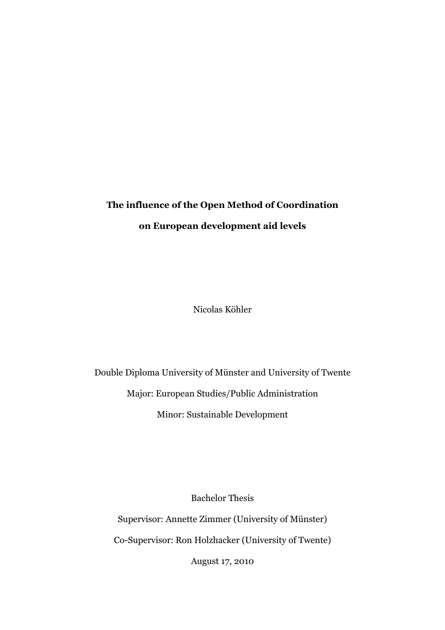# **The influence of the Open Method of Coordination on European development aid levels**

Nicolas Köhler

Double Diploma University of Münster and University of Twente Major: European Studies/Public Administration Minor: Sustainable Development

Bachelor Thesis

Supervisor: Annette Zimmer (University of Münster) Co-Supervisor: Ron Holzhacker (University of Twente) August 17, 2010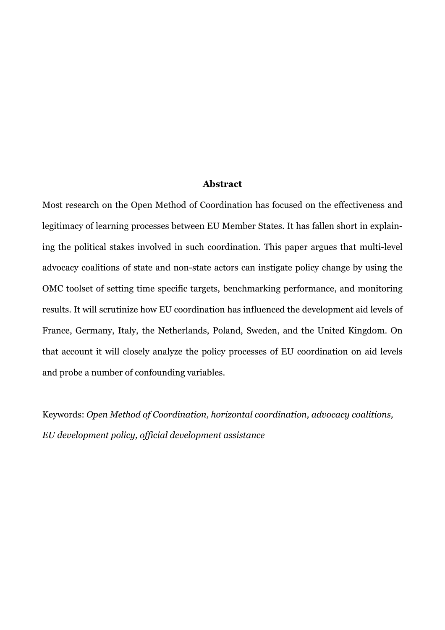#### **Abstract**

Most research on the Open Method of Coordination has focused on the effectiveness and legitimacy of learning processes between EU Member States. It has fallen short in explaining the political stakes involved in such coordination. This paper argues that multi-level advocacy coalitions of state and non-state actors can instigate policy change by using the OMC toolset of setting time specific targets, benchmarking performance, and monitoring results. It will scrutinize how EU coordination has influenced the development aid levels of France, Germany, Italy, the Netherlands, Poland, Sweden, and the United Kingdom. On that account it will closely analyze the policy processes of EU coordination on aid levels and probe a number of confounding variables.

Keywords: *Open Method of Coordination, horizontal coordination, advocacy coalitions, EU development policy, official development assistance*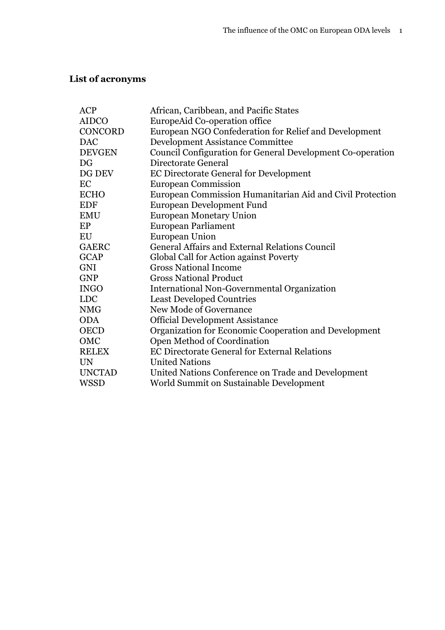# **List of acronyms**

| <b>ACP</b>     | African, Caribbean, and Pacific States                     |
|----------------|------------------------------------------------------------|
| <b>AIDCO</b>   | EuropeAid Co-operation office                              |
| <b>CONCORD</b> | European NGO Confederation for Relief and Development      |
| <b>DAC</b>     | <b>Development Assistance Committee</b>                    |
| <b>DEVGEN</b>  | Council Configuration for General Development Co-operation |
| DG             | Directorate General                                        |
| DG DEV         | <b>EC Directorate General for Development</b>              |
| EC             | <b>European Commission</b>                                 |
| <b>ECHO</b>    | European Commission Humanitarian Aid and Civil Protection  |
| <b>EDF</b>     | <b>European Development Fund</b>                           |
| <b>EMU</b>     | <b>European Monetary Union</b>                             |
| EP             | <b>European Parliament</b>                                 |
| EU             | <b>European Union</b>                                      |
| <b>GAERC</b>   | <b>General Affairs and External Relations Council</b>      |
| <b>GCAP</b>    | Global Call for Action against Poverty                     |
| <b>GNI</b>     | <b>Gross National Income</b>                               |
| <b>GNP</b>     | <b>Gross National Product</b>                              |
| <b>INGO</b>    | International Non-Governmental Organization                |
| <b>LDC</b>     | <b>Least Developed Countries</b>                           |
| <b>NMG</b>     | New Mode of Governance                                     |
| <b>ODA</b>     | <b>Official Development Assistance</b>                     |
| <b>OECD</b>    | Organization for Economic Cooperation and Development      |
| OMC            | Open Method of Coordination                                |
| <b>RELEX</b>   | <b>EC Directorate General for External Relations</b>       |
| <b>UN</b>      | <b>United Nations</b>                                      |
| <b>UNCTAD</b>  | United Nations Conference on Trade and Development         |
| <b>WSSD</b>    | World Summit on Sustainable Development                    |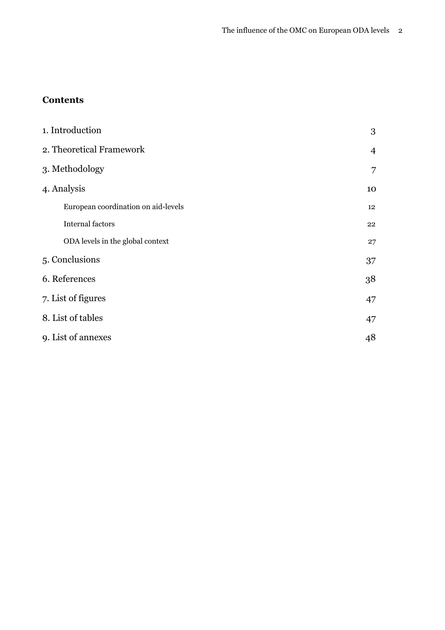### **Contents**

| 1. Introduction                     | 3              |  |  |  |  |  |
|-------------------------------------|----------------|--|--|--|--|--|
| 2. Theoretical Framework            | $\overline{4}$ |  |  |  |  |  |
| 3. Methodology                      | 7              |  |  |  |  |  |
| 4. Analysis                         |                |  |  |  |  |  |
| European coordination on aid-levels | 12             |  |  |  |  |  |
| <b>Internal factors</b>             | 22             |  |  |  |  |  |
| ODA levels in the global context    | 27             |  |  |  |  |  |
| 5. Conclusions                      | 37             |  |  |  |  |  |
| 6. References                       | 38             |  |  |  |  |  |
| 7. List of figures                  | 47             |  |  |  |  |  |
| 8. List of tables                   | 47             |  |  |  |  |  |
| 9. List of annexes                  | 48             |  |  |  |  |  |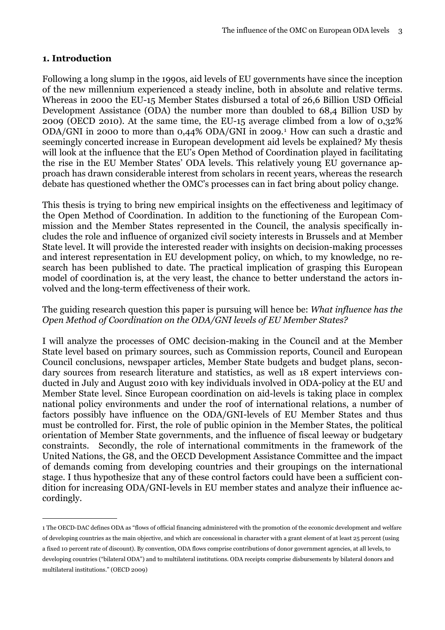#### <span id="page-4-0"></span>**1. Introduction**

Following a long slump in the 1990s, aid levels of EU governments have since the inception of the new millennium experienced a steady incline, both in absolute and relative terms. Whereas in 2000 the EU-15 Member States disbursed a total of 26,6 Billion USD Official Development Assistance (ODA) the number more than doubled to 68,4 Billion USD by 2009 (OECD 2010). At the same time, the EU-15 average climbed from a low of 0,32% ODA/GNI in 2000 to more than 0,44% ODA/GNI in 2009.<sup>1</sup> How can such a drastic and seemingly concerted increase in European development aid levels be explained? My thesis will look at the influence that the EU's Open Method of Coordination played in facilitating the rise in the EU Member States' ODA levels. This relatively young EU governance approach has drawn considerable interest from scholars in recent years, whereas the research debate has questioned whether the OMC's processes can in fact bring about policy change.

This thesis is trying to bring new empirical insights on the effectiveness and legitimacy of the Open Method of Coordination. In addition to the functioning of the European Commission and the Member States represented in the Council, the analysis specifically includes the role and influence of organized civil society interests in Brussels and at Member State level. It will provide the interested reader with insights on decision-making processes and interest representation in EU development policy, on which, to my knowledge, no research has been published to date. The practical implication of grasping this European model of coordination is, at the very least, the chance to better understand the actors involved and the long-term effectiveness of their work.

#### The guiding research question this paper is pursuing will hence be: *What influence has the Open Method of Coordination on the ODA/GNI levels of EU Member States?*

I will analyze the processes of OMC decision-making in the Council and at the Member State level based on primary sources, such as Commission reports, Council and European Council conclusions, newspaper articles, Member State budgets and budget plans, secondary sources from research literature and statistics, as well as 18 expert interviews conducted in July and August 2010 with key individuals involved in ODA-policy at the EU and Member State level. Since European coordination on aid-levels is taking place in complex national policy environments and under the roof of international relations, a number of factors possibly have influence on the ODA/GNI-levels of EU Member States and thus must be controlled for. First, the role of public opinion in the Member States, the political orientation of Member State governments, and the influence of fiscal leeway or budgetary constraints. Secondly, the role of international commitments in the framework of the United Nations, the G8, and the OECD Development Assistance Committee and the impact of demands coming from developing countries and their groupings on the international stage. I thus hypothesize that any of these control factors could have been a sufficient condition for increasing ODA/GNI-levels in EU member states and analyze their influence accordingly.

<span id="page-4-1"></span><sup>1</sup> The OECD-DAC defines ODA as "flows of official financing administered with the promotion of the economic development and welfare of developing countries as the main objective, and which are concessional in character with a grant element of at least 25 percent (using a fixed 10 percent rate of discount). By convention, ODA flows comprise contributions of donor government agencies, at all levels, to developing countries ("bilateral ODA") and to multilateral institutions. ODA receipts comprise disbursements by bilateral donors and multilateral institutions." (OECD 2009)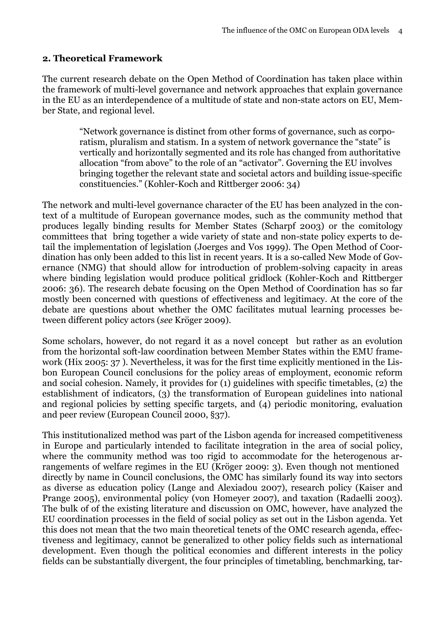#### <span id="page-5-0"></span>**2. Theoretical Framework**

The current research debate on the Open Method of Coordination has taken place within the framework of multi-level governance and network approaches that explain governance in the EU as an interdependence of a multitude of state and non-state actors on EU, Member State, and regional level.

> "Network governance is distinct from other forms of governance, such as corporatism, pluralism and statism. In a system of network governance the "state" is vertically and horizontally segmented and its role has changed from authoritative allocation "from above" to the role of an "activator". Governing the EU involves bringing together the relevant state and societal actors and building issue-specific constituencies." (Kohler-Koch and Rittberger 2006: 34)

The network and multi-level governance character of the EU has been analyzed in the context of a multitude of European governance modes, such as the community method that produces legally binding results for Member States (Scharpf 2003) or the comitology committees that bring together a wide variety of state and non-state policy experts to detail the implementation of legislation (Joerges and Vos 1999). The Open Method of Coordination has only been added to this list in recent years. It is a so-called New Mode of Governance (NMG) that should allow for introduction of problem-solving capacity in areas where binding legislation would produce political gridlock (Kohler-Koch and Rittberger 2006: 36). The research debate focusing on the Open Method of Coordination has so far mostly been concerned with questions of effectiveness and legitimacy. At the core of the debate are questions about whether the OMC facilitates mutual learning processes between different policy actors (*see* Kröger 2009).

Some scholars, however, do not regard it as a novel concept but rather as an evolution from the horizontal soft-law coordination between Member States within the EMU framework (Hix 2005: 37 ). Nevertheless, it was for the first time explicitly mentioned in the Lisbon European Council conclusions for the policy areas of employment, economic reform and social cohesion. Namely, it provides for (1) guidelines with specific timetables, (2) the establishment of indicators, (3) the transformation of European guidelines into national and regional policies by setting specific targets, and (4) periodic monitoring, evaluation and peer review (European Council 2000, §37).

This institutionalized method was part of the Lisbon agenda for increased competitiveness in Europe and particularly intended to facilitate integration in the area of social policy, where the community method was too rigid to accommodate for the heterogenous arrangements of welfare regimes in the EU (Kröger 2009: 3). Even though not mentioned directly by name in Council conclusions, the OMC has similarly found its way into sectors as diverse as education policy (Lange and Alexiadou 2007), research policy (Kaiser and Prange 2005), environmental policy (von Homeyer 2007), and taxation (Radaelli 2003). The bulk of of the existing literature and discussion on OMC, however, have analyzed the EU coordination processes in the field of social policy as set out in the Lisbon agenda. Yet this does not mean that the two main theoretical tenets of the OMC research agenda, effectiveness and legitimacy, cannot be generalized to other policy fields such as international development. Even though the political economies and different interests in the policy fields can be substantially divergent, the four principles of timetabling, benchmarking, tar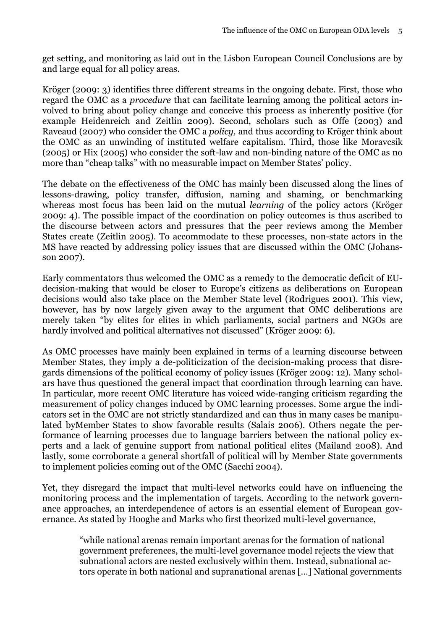get setting, and monitoring as laid out in the Lisbon European Council Conclusions are by and large equal for all policy areas.

Kröger (2009: 3) identifies three different streams in the ongoing debate. First, those who regard the OMC as a *procedure* that can facilitate learning among the political actors involved to bring about policy change and conceive this process as inherently positive (for example Heidenreich and Zeitlin 2009). Second, scholars such as Offe (2003) and Raveaud (2007) who consider the OMC a *policy,* and thus according to Kröger think about the OMC as an unwinding of instituted welfare capitalism. Third, those like Moravcsik (2005) or Hix (2005) who consider the soft-law and non-binding nature of the OMC as no more than "cheap talks" with no measurable impact on Member States' policy.

The debate on the effectiveness of the OMC has mainly been discussed along the lines of lessons-drawing, policy transfer, diffusion, naming and shaming, or benchmarking whereas most focus has been laid on the mutual *learning* of the policy actors (Kröger 2009: 4). The possible impact of the coordination on policy outcomes is thus ascribed to the discourse between actors and pressures that the peer reviews among the Member States create (Zeitlin 2005). To accommodate to these processes, non-state actors in the MS have reacted by addressing policy issues that are discussed within the OMC (Johansson 2007).

Early commentators thus welcomed the OMC as a remedy to the democratic deficit of EUdecision-making that would be closer to Europe's citizens as deliberations on European decisions would also take place on the Member State level (Rodrigues 2001). This view, however, has by now largely given away to the argument that OMC deliberations are merely taken "by elites for elites in which parliaments, social partners and NGOs are hardly involved and political alternatives not discussed" (Kröger 2009: 6).

As OMC processes have mainly been explained in terms of a learning discourse between Member States, they imply a de-politicization of the decision-making process that disregards dimensions of the political economy of policy issues (Kröger 2009: 12). Many scholars have thus questioned the general impact that coordination through learning can have. In particular, more recent OMC literature has voiced wide-ranging criticism regarding the measurement of policy changes induced by OMC learning processes. Some argue the indicators set in the OMC are not strictly standardized and can thus in many cases be manipulated byMember States to show favorable results (Salais 2006). Others negate the performance of learning processes due to language barriers between the national policy experts and a lack of genuine support from national political elites (Mailand 2008). And lastly, some corroborate a general shortfall of political will by Member State governments to implement policies coming out of the OMC (Sacchi 2004).

Yet, they disregard the impact that multi-level networks could have on influencing the monitoring process and the implementation of targets. According to the network governance approaches, an interdependence of actors is an essential element of European governance. As stated by Hooghe and Marks who first theorized multi-level governance,

> "while national arenas remain important arenas for the formation of national government preferences, the multi-level governance model rejects the view that subnational actors are nested exclusively within them. Instead, subnational actors operate in both national and supranational arenas […] National governments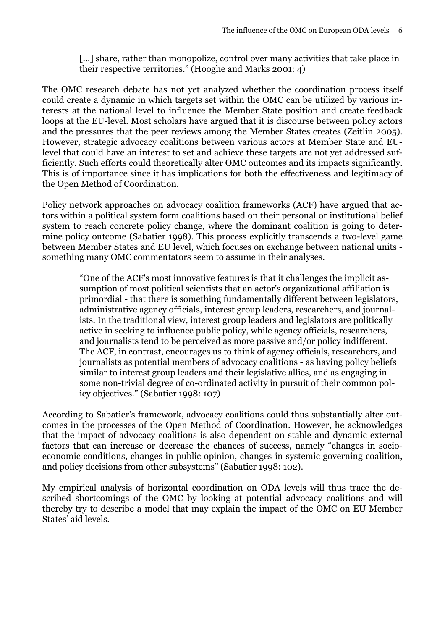[...] share, rather than monopolize, control over many activities that take place in their respective territories." (Hooghe and Marks 2001: 4)

The OMC research debate has not yet analyzed whether the coordination process itself could create a dynamic in which targets set within the OMC can be utilized by various interests at the national level to influence the Member State position and create feedback loops at the EU-level. Most scholars have argued that it is discourse between policy actors and the pressures that the peer reviews among the Member States creates (Zeitlin 2005). However, strategic advocacy coalitions between various actors at Member State and EUlevel that could have an interest to set and achieve these targets are not yet addressed sufficiently. Such efforts could theoretically alter OMC outcomes and its impacts significantly. This is of importance since it has implications for both the effectiveness and legitimacy of the Open Method of Coordination.

Policy network approaches on advocacy coalition frameworks (ACF) have argued that actors within a political system form coalitions based on their personal or institutional belief system to reach concrete policy change, where the dominant coalition is going to determine policy outcome (Sabatier 1998). This process explicitly transcends a two-level game between Member States and EU level, which focuses on exchange between national units something many OMC commentators seem to assume in their analyses.

> "One of the ACF's most innovative features is that it challenges the implicit assumption of most political scientists that an actor's organizational affiliation is primordial - that there is something fundamentally different between legislators, administrative agency officials, interest group leaders, researchers, and journalists. In the traditional view, interest group leaders and legislators are politically active in seeking to influence public policy, while agency officials, researchers, and journalists tend to be perceived as more passive and/or policy indifferent. The ACF, in contrast, encourages us to think of agency officials, researchers, and journalists as potential members of advocacy coalitions - as having policy beliefs similar to interest group leaders and their legislative allies, and as engaging in some non-trivial degree of co-ordinated activity in pursuit of their common policy objectives." (Sabatier 1998: 107)

According to Sabatier's framework, advocacy coalitions could thus substantially alter outcomes in the processes of the Open Method of Coordination. However, he acknowledges that the impact of advocacy coalitions is also dependent on stable and dynamic external factors that can increase or decrease the chances of success, namely "changes in socioeconomic conditions, changes in public opinion, changes in systemic governing coalition, and policy decisions from other subsystems" (Sabatier 1998: 102).

My empirical analysis of horizontal coordination on ODA levels will thus trace the described shortcomings of the OMC by looking at potential advocacy coalitions and will thereby try to describe a model that may explain the impact of the OMC on EU Member States' aid levels.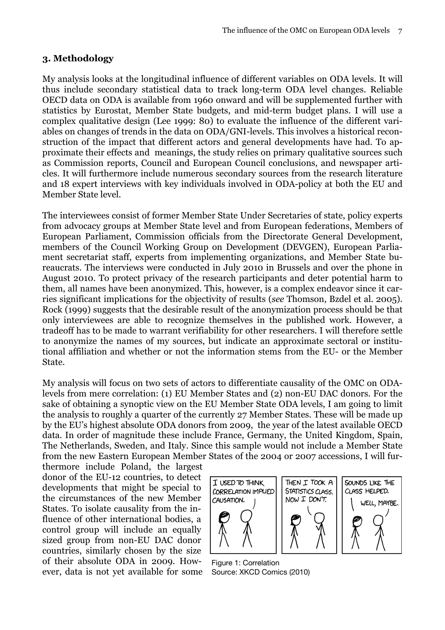#### <span id="page-8-0"></span>**3. Methodology**

My analysis looks at the longitudinal influence of different variables on ODA levels. It will thus include secondary statistical data to track long-term ODA level changes. Reliable OECD data on ODA is available from 1960 onward and will be supplemented further with statistics by Eurostat, Member State budgets, and mid-term budget plans. I will use a complex qualitative design (Lee 1999: 80) to evaluate the influence of the different variables on changes of trends in the data on ODA/GNI-levels. This involves a historical reconstruction of the impact that different actors and general developments have had. To approximate their effects and meanings, the study relies on primary qualitative sources such as Commission reports, Council and European Council conclusions, and newspaper articles. It will furthermore include numerous secondary sources from the research literature and 18 expert interviews with key individuals involved in ODA-policy at both the EU and Member State level.

The interviewees consist of former Member State Under Secretaries of state, policy experts from advocacy groups at Member State level and from European federations, Members of European Parliament, Commission officials from the Directorate General Development, members of the Council Working Group on Development (DEVGEN), European Parliament secretariat staff, experts from implementing organizations, and Member State bureaucrats. The interviews were conducted in July 2010 in Brussels and over the phone in August 2010. To protect privacy of the research participants and deter potential harm to them, all names have been anonymized. This, however, is a complex endeavor since it carries significant implications for the objectivity of results (*see* Thomson, Bzdel et al. 2005). Rock (1999) suggests that the desirable result of the anonymization process should be that only interviewees are able to recognize themselves in the published work. However, a tradeoff has to be made to warrant verifiability for other researchers. I will therefore settle to anonymize the names of my sources, but indicate an approximate sectoral or institutional affiliation and whether or not the information stems from the EU- or the Member State.

My analysis will focus on two sets of actors to differentiate causality of the OMC on ODAlevels from mere correlation: (1) EU Member States and (2) non-EU DAC donors. For the sake of obtaining a synoptic view on the EU Member State ODA levels, I am going to limit the analysis to roughly a quarter of the currently 27 Member States. These will be made up by the EU's highest absolute ODA donors from 2009, the year of the latest available OECD data. In order of magnitude these include France, Germany, the United Kingdom, Spain, The Netherlands, Sweden, and Italy. Since this sample would not include a Member State from the new Eastern European Member States of the 2004 or 2007 accessions, I will fur-

thermore include Poland, the largest donor of the EU-12 countries, to detect developments that might be special to the circumstances of the new Member States. To isolate causality from the influence of other international bodies, a control group will include an equally sized group from non-EU DAC donor countries, similarly chosen by the size of their absolute ODA in 2009. However, data is not yet available for some



Figure 1: Correlation Source: XKCD Comics (2010)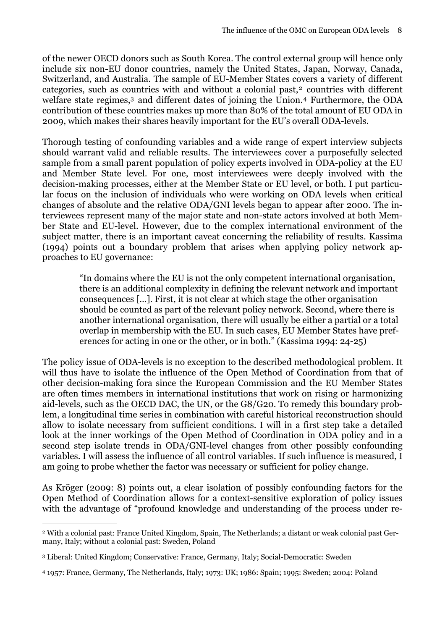of the newer OECD donors such as South Korea. The control external group will hence only include six non-EU donor countries, namely the United States, Japan, Norway, Canada, Switzerland, and Australia. The sample of EU-Member States covers a variety of different categories, such as countries with and without a colonial past,<sup>2</sup> countries with different welfare state regimes,<sup>3</sup> and different dates of joining the Union.<sup>4</sup> Furthermore, the ODA contribution of these countries makes up more than 80% of the total amount of EU ODA in 2009, which makes their shares heavily important for the EU's overall ODA-levels.

Thorough testing of confounding variables and a wide range of expert interview subjects should warrant valid and reliable results. The interviewees cover a purposefully selected sample from a small parent population of policy experts involved in ODA-policy at the EU and Member State level. For one, most interviewees were deeply involved with the decision-making processes, either at the Member State or EU level, or both. I put particular focus on the inclusion of individuals who were working on ODA levels when critical changes of absolute and the relative ODA/GNI levels began to appear after 2000. The interviewees represent many of the major state and non-state actors involved at both Member State and EU-level. However, due to the complex international environment of the subject matter, there is an important caveat concerning the reliability of results. Kassima (1994) points out a boundary problem that arises when applying policy network approaches to EU governance:

> "In domains where the EU is not the only competent international organisation, there is an additional complexity in defining the relevant network and important consequences […]. First, it is not clear at which stage the other organisation should be counted as part of the relevant policy network. Second, where there is another international organisation, there will usually be either a partial or a total overlap in membership with the EU. In such cases, EU Member States have preferences for acting in one or the other, or in both." (Kassima 1994: 24-25)

The policy issue of ODA-levels is no exception to the described methodological problem. It will thus have to isolate the influence of the Open Method of Coordination from that of other decision-making fora since the European Commission and the EU Member States are often times members in international institutions that work on rising or harmonizing aid-levels, such as the OECD DAC, the UN, or the G8/G20. To remedy this boundary problem, a longitudinal time series in combination with careful historical reconstruction should allow to isolate necessary from sufficient conditions. I will in a first step take a detailed look at the inner workings of the Open Method of Coordination in ODA policy and in a second step isolate trends in ODA/GNI-level changes from other possibly confounding variables. I will assess the influence of all control variables. If such influence is measured, I am going to probe whether the factor was necessary or sufficient for policy change.

As Kröger (2009: 8) points out, a clear isolation of possibly confounding factors for the Open Method of Coordination allows for a context-sensitive exploration of policy issues with the advantage of "profound knowledge and understanding of the process under re-

<span id="page-9-0"></span><sup>2</sup> With a colonial past: France United Kingdom, Spain, The Netherlands; a distant or weak colonial past Germany, Italy; without a colonial past: Sweden, Poland

<span id="page-9-1"></span><sup>3</sup> Liberal: United Kingdom; Conservative: France, Germany, Italy; Social-Democratic: Sweden

<span id="page-9-2"></span><sup>4 1957:</sup> France, Germany, The Netherlands, Italy; 1973: UK; 1986: Spain; 1995: Sweden; 2004: Poland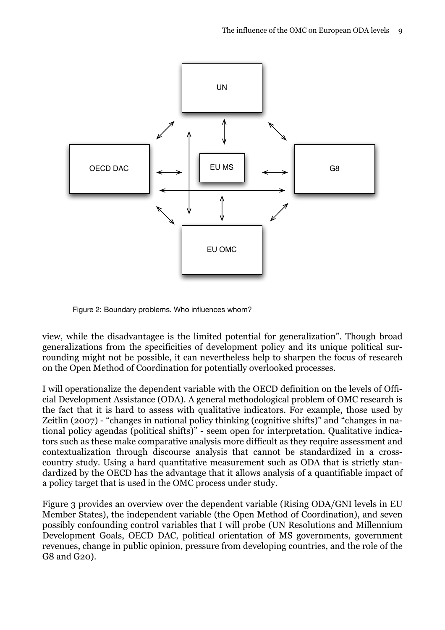

Figure 2: Boundary problems. Who influences whom?

view, while the disadvantagee is the limited potential for generalization". Though broad generalizations from the specificities of development policy and its unique political surrounding might not be possible, it can nevertheless help to sharpen the focus of research on the Open Method of Coordination for potentially overlooked processes.

I will operationalize the dependent variable with the OECD definition on the levels of Official Development Assistance (ODA). A general methodological problem of OMC research is the fact that it is hard to assess with qualitative indicators. For example, those used by Zeitlin (2007) - "changes in national policy thinking (cognitive shifts)" and "changes in national policy agendas (political shifts)" - seem open for interpretation. Qualitative indicators such as these make comparative analysis more difficult as they require assessment and contextualization through discourse analysis that cannot be standardized in a crosscountry study. Using a hard quantitative measurement such as ODA that is strictly standardized by the OECD has the advantage that it allows analysis of a quantifiable impact of a policy target that is used in the OMC process under study.

Figure 3 provides an overview over the dependent variable (Rising ODA/GNI levels in EU Member States), the independent variable (the Open Method of Coordination), and seven possibly confounding control variables that I will probe (UN Resolutions and Millennium Development Goals, OECD DAC, political orientation of MS governments, government revenues, change in public opinion, pressure from developing countries, and the role of the G8 and G20).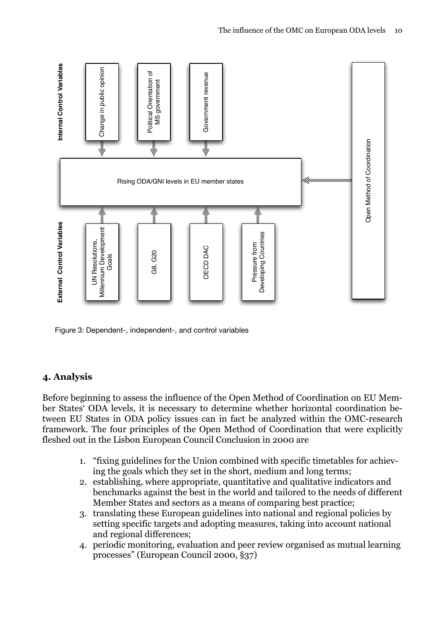

Figure 3: Dependent-, independent-, and control variables

#### <span id="page-11-0"></span>**4. Analysis**

Before beginning to assess the influence of the Open Method of Coordination on EU Member States' ODA levels, it is necessary to determine whether horizontal coordination between EU States in ODA policy issues can in fact be analyzed within the OMC-research framework. The four principles of the Open Method of Coordination that were explicitly fleshed out in the Lisbon European Council Conclusion in 2000 are

- 1. "fixing guidelines for the Union combined with specific timetables for achieving the goals which they set in the short, medium and long terms;
- 2. establishing, where appropriate, quantitative and qualitative indicators and benchmarks against the best in the world and tailored to the needs of different Member States and sectors as a means of comparing best practice;
- 3. translating these European guidelines into national and regional policies by setting specific targets and adopting measures, taking into account national and regional differences;
- 4. periodic monitoring, evaluation and peer review organised as mutual learning processes" (European Council 2000, §37)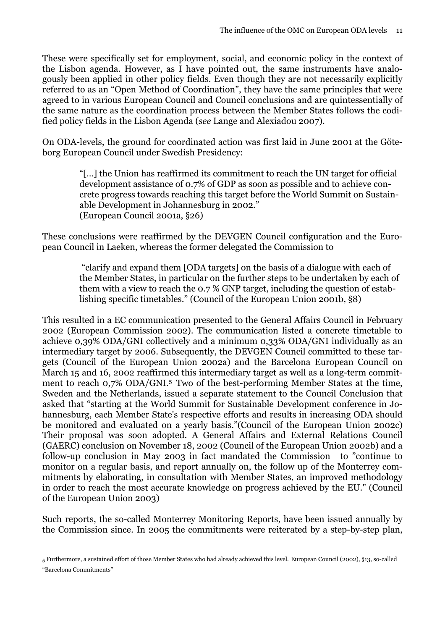These were specifically set for employment, social, and economic policy in the context of the Lisbon agenda. However, as I have pointed out, the same instruments have analogously been applied in other policy fields. Even though they are not necessarily explicitly referred to as an "Open Method of Coordination", they have the same principles that were agreed to in various European Council and Council conclusions and are quintessentially of the same nature as the coordination process between the Member States follows the codified policy fields in the Lisbon Agenda (*see* Lange and Alexiadou 2007).

On ODA-levels, the ground for coordinated action was first laid in June 2001 at the Göteborg European Council under Swedish Presidency:

> "[…] the Union has reaffirmed its commitment to reach the UN target for official development assistance of 0.7% of GDP as soon as possible and to achieve concrete progress towards reaching this target before the World Summit on Sustainable Development in Johannesburg in 2002." (European Council 2001a, §26)

These conclusions were reaffirmed by the DEVGEN Council configuration and the European Council in Laeken, whereas the former delegated the Commission to

> "clarify and expand them [ODA targets] on the basis of a dialogue with each of the Member States, in particular on the further steps to be undertaken by each of them with a view to reach the 0.7 % GNP target, including the question of establishing specific timetables." (Council of the European Union 2001b, §8)

This resulted in a EC communication presented to the General Affairs Council in February 2002 (European Commission 2002). The communication listed a concrete timetable to achieve 0,39% ODA/GNI collectively and a minimum 0,33% ODA/GNI individually as an intermediary target by 2006. Subsequently, the DEVGEN Council committed to these targets (Council of the European Union 2002a) and the Barcelona European Council on March 15 and 16, 2002 reaffirmed this intermediary target as well as a long-term commitment to reach 0,7% ODA/GNI.[5](#page-12-0) Two of the best-performing Member States at the time, Sweden and the Netherlands, issued a separate statement to the Council Conclusion that asked that "starting at the World Summit for Sustainable Development conference in Johannesburg, each Member State's respective efforts and results in increasing ODA should be monitored and evaluated on a yearly basis."(Council of the European Union 2002c) Their proposal was soon adopted. A General Affairs and External Relations Council (GAERC) conclusion on November 18, 2002 (Council of the European Union 2002b) and a follow-up conclusion in May 2003 in fact mandated the Commission to "continue to monitor on a regular basis, and report annually on, the follow up of the Monterrey commitments by elaborating, in consultation with Member States, an improved methodology in order to reach the most accurate knowledge on progress achieved by the EU." (Council of the European Union 2003)

Such reports, the so-called Monterrey Monitoring Reports, have been issued annually by the Commission since. In 2005 the commitments were reiterated by a step-by-step plan,

<span id="page-12-0"></span><sup>5</sup> Furthermore, a sustained effort of those Member States who had already achieved this level. European Council (2002), §13, so-called "Barcelona Commitments"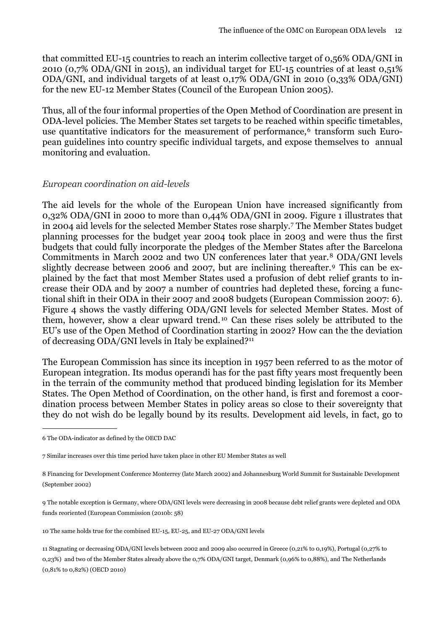that committed EU-15 countries to reach an interim collective target of 0,56% ODA/GNI in 2010 (0,7% ODA/GNI in 2015), an individual target for EU-15 countries of at least 0,51% ODA/GNI, and individual targets of at least 0,17% ODA/GNI in 2010 (0,33% ODA/GNI) for the new EU-12 Member States (Council of the European Union 2005).

Thus, all of the four informal properties of the Open Method of Coordination are present in ODA-level policies. The Member States set targets to be reached within specific timetables, use quantitative indicators for the measurement of performance,<sup>6</sup> transform such European guidelines into country specific individual targets, and expose themselves to annual monitoring and evaluation.

#### <span id="page-13-0"></span>*European coordination on aid-levels*

The aid levels for the whole of the European Union have increased significantly from 0,32% ODA/GNI in 2000 to more than 0,44% ODA/GNI in 2009. Figure 1 illustrates that in 2004 aid levels for the selected Member States rose sharply.[7](#page-13-2) The Member States budget planning processes for the budget year 2004 took place in 2003 and were thus the first budgets that could fully incorporate the pledges of the Member States after the Barcelona Commitments in March 2002 and two UN conferences later that year.[8](#page-13-3) ODA/GNI levels slightly decrease between 2006 and 2007, but are inclining thereafter.[9](#page-13-4) This can be explained by the fact that most Member States used a profusion of debt relief grants to increase their ODA and by 2007 a number of countries had depleted these, forcing a functional shift in their ODA in their 2007 and 2008 budgets (European Commission 2007: 6). Figure 4 shows the vastly differing ODA/GNI levels for selected Member States. Most of them, however, show a clear upward trend. [10](#page-13-5) Can these rises solely be attributed to the EU's use of the Open Method of Coordination starting in 2002? How can the the deviation of decreasing ODA/GNI levels in Italy be explained?[11](#page-13-6)

The European Commission has since its inception in 1957 been referred to as the motor of European integration. Its modus operandi has for the past fifty years most frequently been in the terrain of the community method that produced binding legislation for its Member States. The Open Method of Coordination, on the other hand, is first and foremost a coordination process between Member States in policy areas so close to their sovereignty that they do not wish do be legally bound by its results. Development aid levels, in fact, go to

<span id="page-13-5"></span>10 The same holds true for the combined EU-15, EU-25, and EU-27 ODA/GNI levels

<span id="page-13-6"></span>11 Stagnating or decreasing ODA/GNI levels between 2002 and 2009 also occurred in Greece (0,21% to 0,19%), Portugal (0,27% to 0,23%) and two of the Member States already above the 0,7% ODA/GNI target, Denmark (0,96% to 0,88%), and The Netherlands (0,81% to 0,82%) (OECD 2010)

<span id="page-13-1"></span><sup>6</sup> The ODA-indicator as defined by the OECD DAC

<span id="page-13-2"></span><sup>7</sup> Similar increases over this time period have taken place in other EU Member States as well

<span id="page-13-3"></span><sup>8</sup> Financing for Development Conference Monterrey (late March 2002) and Johannesburg World Summit for Sustainable Development (September 2002)

<span id="page-13-4"></span><sup>9</sup> The notable exception is Germany, where ODA/GNI levels were decreasing in 2008 because debt relief grants were depleted and ODA funds reoriented (European Commission (2010b: 58)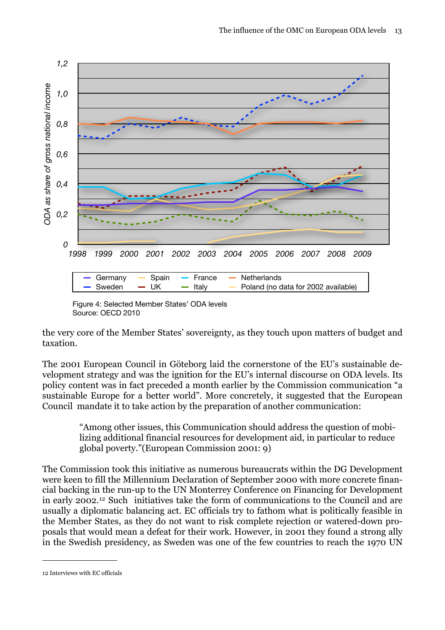

Figure 4: Selected Member States' ODA levels Source: OECD 2010

the very core of the Member States' sovereignty, as they touch upon matters of budget and taxation.

The 2001 European Council in Göteborg laid the cornerstone of the EU's sustainable development strategy and was the ignition for the EU's internal discourse on ODA levels. Its policy content was in fact preceded a month earlier by the Commission communication "a sustainable Europe for a better world". More concretely, it suggested that the European Council mandate it to take action by the preparation of another communication:

"Among other issues, this Communication should address the question of mobilizing additional financial resources for development aid, in particular to reduce global poverty."(European Commission 2001: 9)

The Commission took this initiative as numerous bureaucrats within the DG Development were keen to fill the Millennium Declaration of September 2000 with more concrete financial backing in the run-up to the UN Monterrey Conference on Financing for Development in early 2002.[12](#page-14-0) Such initiatives take the form of communications to the Council and are usually a diplomatic balancing act. EC officials try to fathom what is politically feasible in the Member States, as they do not want to risk complete rejection or watered-down proposals that would mean a defeat for their work. However, in 2001 they found a strong ally in the Swedish presidency, as Sweden was one of the few countries to reach the 1970 UN

<span id="page-14-0"></span><sup>12</sup> Interviews with EC officials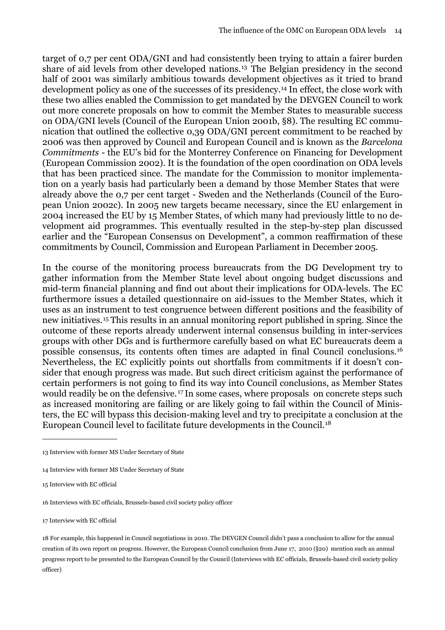target of 0,7 per cent ODA/GNI and had consistently been trying to attain a fairer burden share of aid levels from other developed nations.[13](#page-15-0) The Belgian presidency in the second half of 2001 was similarly ambitious towards development objectives as it tried to brand development policy as one of the successes of its presidency.<sup>14</sup> In effect, the close work with these two allies enabled the Commission to get mandated by the DEVGEN Council to work out more concrete proposals on how to commit the Member States to measurable success on ODA/GNI levels (Council of the European Union 2001b, §8). The resulting EC communication that outlined the collective 0,39 ODA/GNI percent commitment to be reached by 2006 was then approved by Council and European Council and is known as the *Barcelona Commitments* - the EU's bid for the Monterrey Conference on Financing for Development (European Commission 2002). It is the foundation of the open coordination on ODA levels that has been practiced since. The mandate for the Commission to monitor implementation on a yearly basis had particularly been a demand by those Member States that were already above the 0,7 per cent target - Sweden and the Netherlands (Council of the European Union 2002c). In 2005 new targets became necessary, since the EU enlargement in 2004 increased the EU by 15 Member States, of which many had previously little to no development aid programmes. This eventually resulted in the step-by-step plan discussed earlier and the "European Consensus on Development", a common reaffirmation of these commitments by Council, Commission and European Parliament in December 2005.

In the course of the monitoring process bureaucrats from the DG Development try to gather information from the Member State level about ongoing budget discussions and mid-term financial planning and find out about their implications for ODA-levels. The EC furthermore issues a detailed questionnaire on aid-issues to the Member States, which it uses as an instrument to test congruence between different positions and the feasibility of new initiatives.[15](#page-15-2) This results in an annual monitoring report published in spring. Since the outcome of these reports already underwent internal consensus building in inter-services groups with other DGs and is furthermore carefully based on what EC bureaucrats deem a possible consensus, its contents often times are adapted in final Council conclusions.[16](#page-15-3) Nevertheless, the EC explicitly points out shortfalls from commitments if it doesn't consider that enough progress was made. But such direct criticism against the performance of certain performers is not going to find its way into Council conclusions, as Member States would readily be on the defensive. [17](#page-15-4) In some cases, where proposals on concrete steps such as increased monitoring are failing or are likely going to fail within the Council of Ministers, the EC will bypass this decision-making level and try to precipitate a conclusion at the European Council level to facilitate future developments in the Council.[18](#page-15-5)

<span id="page-15-0"></span><sup>13</sup> Interview with former MS Under Secretary of State

<span id="page-15-1"></span><sup>14</sup> Interview with former MS Under Secretary of State

<span id="page-15-2"></span><sup>15</sup> Interview with EC official

<span id="page-15-3"></span><sup>16</sup> Interviews with EC officials, Brussels-based civil society policy officer

<span id="page-15-4"></span><sup>17</sup> Interview with EC official

<span id="page-15-5"></span><sup>18</sup> For example, this happened in Council negotiations in 2010. The DEVGEN Council didn't pass a conclusion to allow for the annual creation of its own report on progress. However, the European Council conclusion from June 17, 2010 (§20) mention such an annual progress report to be presented to the European Council by the Council (Interviews with EC officials, Brussels-based civil society policy officer)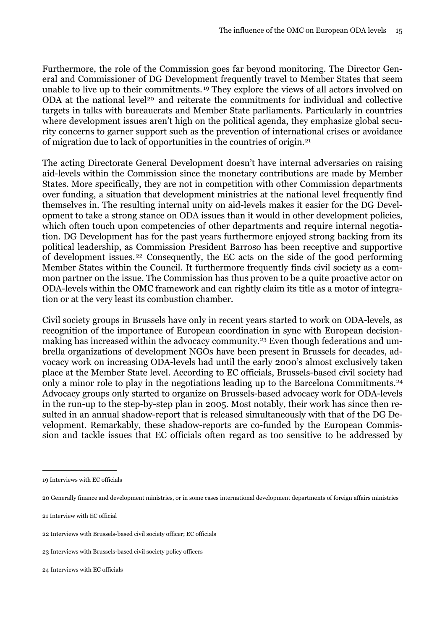Furthermore, the role of the Commission goes far beyond monitoring. The Director General and Commissioner of DG Development frequently travel to Member States that seem unable to live up to their commitments. [19](#page-16-0) They explore the views of all actors involved on ODA at the national level<sup>20</sup> and reiterate the commitments for individual and collective targets in talks with bureaucrats and Member State parliaments. Particularly in countries where development issues aren't high on the political agenda, they emphasize global security concerns to garner support such as the prevention of international crises or avoidance of migration due to lack of opportunities in the countries of origin.[21](#page-16-2)

The acting Directorate General Development doesn't have internal adversaries on raising aid-levels within the Commission since the monetary contributions are made by Member States. More specifically, they are not in competition with other Commission departments over funding, a situation that development ministries at the national level frequently find themselves in. The resulting internal unity on aid-levels makes it easier for the DG Development to take a strong stance on ODA issues than it would in other development policies, which often touch upon competencies of other departments and require internal negotiation. DG Development has for the past years furthermore enjoyed strong backing from its political leadership, as Commission President Barroso has been receptive and supportive of development issues. [22](#page-16-3) Consequently, the EC acts on the side of the good performing Member States within the Council. It furthermore frequently finds civil society as a common partner on the issue. The Commission has thus proven to be a quite proactive actor on ODA-levels within the OMC framework and can rightly claim its title as a motor of integration or at the very least its combustion chamber.

Civil society groups in Brussels have only in recent years started to work on ODA-levels, as recognition of the importance of European coordination in sync with European decisionmaking has increased within the advocacy community.[23](#page-16-4) Even though federations and umbrella organizations of development NGOs have been present in Brussels for decades, advocacy work on increasing ODA-levels had until the early 2000's almost exclusively taken place at the Member State level. According to EC officials, Brussels-based civil society had only a minor role to play in the negotiations leading up to the Barcelona Commitments.[24](#page-16-5) Advocacy groups only started to organize on Brussels-based advocacy work for ODA-levels in the run-up to the step-by-step plan in 2005. Most notably, their work has since then resulted in an annual shadow-report that is released simultaneously with that of the DG Development. Remarkably, these shadow-reports are co-funded by the European Commission and tackle issues that EC officials often regard as too sensitive to be addressed by

<span id="page-16-5"></span>24 Interviews with EC officials

<span id="page-16-0"></span><sup>19</sup> Interviews with EC officials

<span id="page-16-1"></span><sup>20</sup> Generally finance and development ministries, or in some cases international development departments of foreign affairs ministries

<span id="page-16-2"></span><sup>21</sup> Interview with EC official

<span id="page-16-3"></span><sup>22</sup> Interviews with Brussels-based civil society officer; EC officials

<span id="page-16-4"></span><sup>23</sup> Interviews with Brussels-based civil society policy officers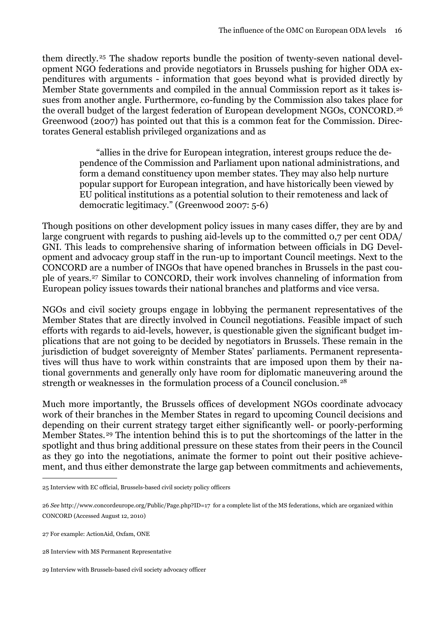them directly.[25](#page-17-0) The shadow reports bundle the position of twenty-seven national development NGO federations and provide negotiators in Brussels pushing for higher ODA expenditures with arguments - information that goes beyond what is provided directly by Member State governments and compiled in the annual Commission report as it takes issues from another angle. Furthermore, co-funding by the Commission also takes place for the overall budget of the largest federation of European development NGOs, CONCORD.[26](#page-17-1) Greenwood (2007) has pointed out that this is a common feat for the Commission. Directorates General establish privileged organizations and as

> "allies in the drive for European integration, interest groups reduce the dependence of the Commission and Parliament upon national administrations, and form a demand constituency upon member states. They may also help nurture popular support for European integration, and have historically been viewed by EU political institutions as a potential solution to their remoteness and lack of democratic legitimacy." (Greenwood 2007: 5-6)

Though positions on other development policy issues in many cases differ, they are by and large congruent with regards to pushing aid-levels up to the committed 0,7 per cent ODA/ GNI. This leads to comprehensive sharing of information between officials in DG Development and advocacy group staff in the run-up to important Council meetings. Next to the CONCORD are a number of INGOs that have opened branches in Brussels in the past couple of years.[27](#page-17-2) Similar to CONCORD, their work involves channeling of information from European policy issues towards their national branches and platforms and vice versa.

NGOs and civil society groups engage in lobbying the permanent representatives of the Member States that are directly involved in Council negotiations. Feasible impact of such efforts with regards to aid-levels, however, is questionable given the significant budget implications that are not going to be decided by negotiators in Brussels. These remain in the jurisdiction of budget sovereignty of Member States' parliaments. Permanent representatives will thus have to work within constraints that are imposed upon them by their national governments and generally only have room for diplomatic maneuvering around the strength or weaknesses in the formulation process of a Council conclusion.<sup>[28](#page-17-3)</sup>

Much more importantly, the Brussels offices of development NGOs coordinate advocacy work of their branches in the Member States in regard to upcoming Council decisions and depending on their current strategy target either significantly well- or poorly-performing Member States.[29](#page-17-4) The intention behind this is to put the shortcomings of the latter in the spotlight and thus bring additional pressure on these states from their peers in the Council as they go into the negotiations, animate the former to point out their positive achievement, and thus either demonstrate the large gap between commitments and achievements,

<span id="page-17-0"></span><sup>25</sup> Interview with EC official, Brussels-based civil society policy officers

<span id="page-17-1"></span><sup>26</sup> *See* <http://www.concordeurope.org/Public/Page.php?ID=17> for a complete list of the MS federations, which are organized within CONCORD (Accessed August 12, 2010)

<span id="page-17-2"></span><sup>27</sup> For example: ActionAid, Oxfam, ONE

<span id="page-17-3"></span><sup>28</sup> Interview with MS Permanent Representative

<span id="page-17-4"></span><sup>29</sup> Interview with Brussels-based civil society advocacy officer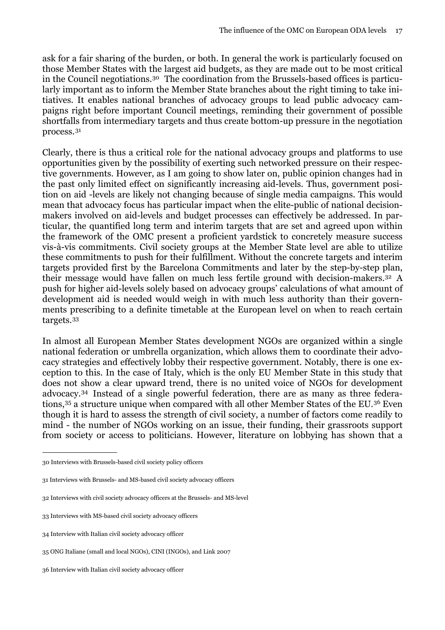ask for a fair sharing of the burden, or both. In general the work is particularly focused on those Member States with the largest aid budgets, as they are made out to be most critical in the Council negotiations.[30](#page-18-0) The coordination from the Brussels-based offices is particularly important as to inform the Member State branches about the right timing to take initiatives. It enables national branches of advocacy groups to lead public advocacy campaigns right before important Council meetings, reminding their government of possible shortfalls from intermediary targets and thus create bottom-up pressure in the negotiation process.[31](#page-18-1) 

Clearly, there is thus a critical role for the national advocacy groups and platforms to use opportunities given by the possibility of exerting such networked pressure on their respective governments. However, as I am going to show later on, public opinion changes had in the past only limited effect on significantly increasing aid-levels. Thus, government position on aid -levels are likely not changing because of single media campaigns. This would mean that advocacy focus has particular impact when the elite-public of national decisionmakers involved on aid-levels and budget processes can effectively be addressed. In particular, the quantified long term and interim targets that are set and agreed upon within the framework of the OMC present a proficient yardstick to concretely measure success vis-à-vis commitments. Civil society groups at the Member State level are able to utilize these commitments to push for their fulfillment. Without the concrete targets and interim targets provided first by the Barcelona Commitments and later by the step-by-step plan, their message would have fallen on much less fertile ground with decision-makers.[32](#page-18-2) A push for higher aid-levels solely based on advocacy groups' calculations of what amount of development aid is needed would weigh in with much less authority than their governments prescribing to a definite timetable at the European level on when to reach certain targets.[33](#page-18-3)

In almost all European Member States development NGOs are organized within a single national federation or umbrella organization, which allows them to coordinate their advocacy strategies and effectively lobby their respective government. Notably, there is one exception to this. In the case of Italy, which is the only EU Member State in this study that does not show a clear upward trend, there is no united voice of NGOs for development advocacy.[34](#page-18-4) Instead of a single powerful federation, there are as many as three federations,<sup>35</sup> a structure unique when compared with all other Member States of the EU.<sup>36</sup> Even though it is hard to assess the strength of civil society, a number of factors come readily to mind - the number of NGOs working on an issue, their funding, their grassroots support from society or access to politicians. However, literature on lobbying has shown that a

<span id="page-18-0"></span><sup>30</sup> Interviews with Brussels-based civil society policy officers

<span id="page-18-1"></span><sup>31</sup> Interviews with Brussels- and MS-based civil society advocacy officers

<span id="page-18-2"></span><sup>32</sup> Interviews with civil society advocacy officers at the Brussels- and MS-level

<span id="page-18-3"></span><sup>33</sup> Interviews with MS-based civil society advocacy officers

<span id="page-18-4"></span><sup>34</sup> Interview with Italian civil society advocacy officer

<span id="page-18-5"></span><sup>35</sup> ONG Italiane (small and local NGOs), CINI (INGOs), and Link 2007

<span id="page-18-6"></span><sup>36</sup> Interview with Italian civil society advocacy officer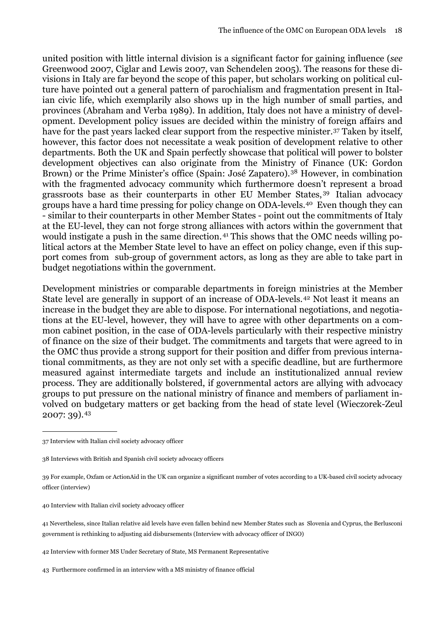united position with little internal division is a significant factor for gaining influence (*see*  Greenwood 2007, Ciglar and Lewis 2007, van Schendelen 2005). The reasons for these divisions in Italy are far beyond the scope of this paper, but scholars working on political culture have pointed out a general pattern of parochialism and fragmentation present in Italian civic life, which exemplarily also shows up in the high number of small parties, and provinces (Abraham and Verba 1989). In addition, Italy does not have a ministry of development. Development policy issues are decided within the ministry of foreign affairs and have for the past years lacked clear support from the respective minister.<sup>37</sup> Taken by itself, however, this factor does not necessitate a weak position of development relative to other departments. Both the UK and Spain perfectly showcase that political will power to bolster development objectives can also originate from the Ministry of Finance (UK: Gordon Brown) or the Prime Minister's office (Spain: José Zapatero).<sup>38</sup> However, in combination with the fragmented advocacy community which furthermore doesn't represent a broad grassroots base as their counterparts in other EU Member States, [39](#page-19-2) Italian advocacy groups have a hard time pressing for policy change on ODA-levels.[40](#page-19-3) Even though they can - similar to their counterparts in other Member States - point out the commitments of Italy at the EU-level, they can not forge strong alliances with actors within the government that would instigate a push in the same direction. [41](#page-19-4) This shows that the OMC needs willing political actors at the Member State level to have an effect on policy change, even if this support comes from sub-group of government actors, as long as they are able to take part in budget negotiations within the government.

Development ministries or comparable departments in foreign ministries at the Member State level are generally in support of an increase of ODA-levels.[42](#page-19-5) Not least it means an increase in the budget they are able to dispose. For international negotiations, and negotiations at the EU-level, however, they will have to agree with other departments on a common cabinet position, in the case of ODA-levels particularly with their respective ministry of finance on the size of their budget. The commitments and targets that were agreed to in the OMC thus provide a strong support for their position and differ from previous international commitments, as they are not only set with a specific deadline, but are furthermore measured against intermediate targets and include an institutionalized annual review process. They are additionally bolstered, if governmental actors are allying with advocacy groups to put pressure on the national ministry of finance and members of parliament involved on budgetary matters or get backing from the head of state level (Wieczorek-Zeul 2007: 39).[43](#page-19-6) 

<span id="page-19-0"></span><sup>37</sup> Interview with Italian civil society advocacy officer

<span id="page-19-1"></span><sup>38</sup> Interviews with British and Spanish civil society advocacy officers

<span id="page-19-2"></span><sup>39</sup> For example, Oxfam or ActionAid in the UK can organize a significant number of votes according to a UK-based civil society advocacy officer (interview)

<span id="page-19-3"></span><sup>40</sup> Interview with Italian civil society advocacy officer

<span id="page-19-4"></span><sup>41</sup> Nevertheless, since Italian relative aid levels have even fallen behind new Member States such as Slovenia and Cyprus, the Berlusconi government is rethinking to adjusting aid disbursements (Interview with advocacy officer of INGO)

<span id="page-19-5"></span><sup>42</sup> Interview with former MS Under Secretary of State, MS Permanent Representative

<span id="page-19-6"></span><sup>43</sup> Furthermore confirmed in an interview with a MS ministry of finance official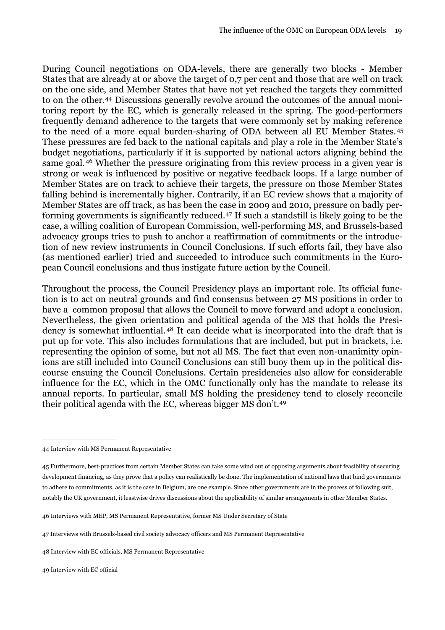During Council negotiations on ODA-levels, there are generally two blocks - Member States that are already at or above the target of 0,7 per cent and those that are well on track on the one side, and Member States that have not yet reached the targets they committed to on the other.[44](#page-20-0) Discussions generally revolve around the outcomes of the annual monitoring report by the EC, which is generally released in the spring. The good-performers frequently demand adherence to the targets that were commonly set by making reference to the need of a more equal burden-sharing of ODA between all EU Member States. [45](#page-20-1) These pressures are fed back to the national capitals and play a role in the Member State's budget negotiations, particularly if it is supported by national actors aligning behind the same goal. [46](#page-20-2) Whether the pressure originating from this review process in a given year is strong or weak is influenced by positive or negative feedback loops. If a large number of Member States are on track to achieve their targets, the pressure on those Member States falling behind is incrementally higher. Contrarily, if an EC review shows that a majority of Member States are off track, as has been the case in 2009 and 2010, pressure on badly performing governments is significantly reduced.[47](#page-20-3) If such a standstill is likely going to be the case, a willing coalition of European Commission, well-performing MS, and Brussels-based advocacy groups tries to push to anchor a reaffirmation of commitments or the introduction of new review instruments in Council Conclusions. If such efforts fail, they have also (as mentioned earlier) tried and succeeded to introduce such commitments in the European Council conclusions and thus instigate future action by the Council.

Throughout the process, the Council Presidency plays an important role. Its official function is to act on neutral grounds and find consensus between 27 MS positions in order to have a common proposal that allows the Council to move forward and adopt a conclusion. Nevertheless, the given orientation and political agenda of the MS that holds the Presidency is somewhat influential. [48](#page-20-4) It can decide what is incorporated into the draft that is put up for vote. This also includes formulations that are included, but put in brackets, i.e. representing the opinion of some, but not all MS. The fact that even non-unanimity opinions are still included into Council Conclusions can still buoy them up in the political discourse ensuing the Council Conclusions. Certain presidencies also allow for considerable influence for the EC, which in the OMC functionally only has the mandate to release its annual reports. In particular, small MS holding the presidency tend to closely reconcile their political agenda with the EC, whereas bigger MS don't.[49](#page-20-5)

<span id="page-20-0"></span><sup>44</sup> Interview with MS Permanent Representative

<span id="page-20-1"></span><sup>45</sup> Furthermore, best-practices from certain Member States can take some wind out of opposing arguments about feasibility of securing development financing, as they prove that a policy can realistically be done. The implementation of national laws that bind governments to adhere to commitments, as it is the case in Belgium, are one example. Since other governments are in the process of following suit, notably the UK government, it leastwise drives discussions about the applicability of similar arrangements in other Member States.

<span id="page-20-2"></span><sup>46</sup> Interviews with MEP, MS Permanent Representative, former MS Under Secretary of State

<span id="page-20-3"></span><sup>47</sup> Interviews with Brussels-based civil society advocacy officers and MS Permanent Representative

<span id="page-20-4"></span><sup>48</sup> Interview with EC officials, MS Permanent Representative

<span id="page-20-5"></span><sup>49</sup> Interview with EC official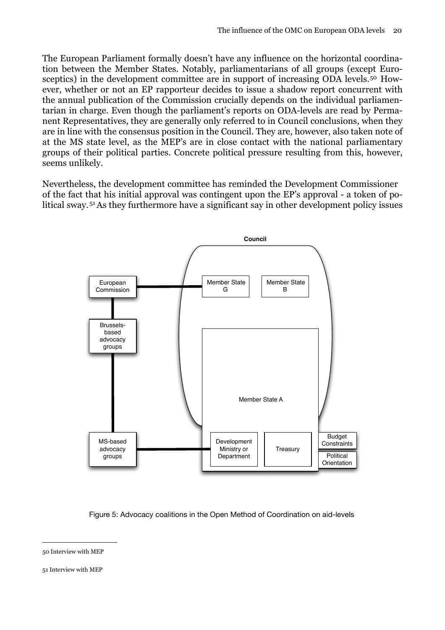The European Parliament formally doesn't have any influence on the horizontal coordination between the Member States. Notably, parliamentarians of all groups (except Eurosceptics) in the development committee are in support of increasing ODA levels.<sup>50</sup> However, whether or not an EP rapporteur decides to issue a shadow report concurrent with the annual publication of the Commission crucially depends on the individual parliamentarian in charge. Even though the parliament's reports on ODA-levels are read by Permanent Representatives, they are generally only referred to in Council conclusions, when they are in line with the consensus position in the Council. They are, however, also taken note of at the MS state level, as the MEP's are in close contact with the national parliamentary groups of their political parties. Concrete political pressure resulting from this, however, seems unlikely.

Nevertheless, the development committee has reminded the Development Commissioner of the fact that his initial approval was contingent upon the EP's approval - a token of political sway. [51](#page-21-1) As they furthermore have a significant say in other development policy issues



Figure 5: Advocacy coalitions in the Open Method of Coordination on aid-levels

<span id="page-21-0"></span><sup>50</sup> Interview with MEP

<span id="page-21-1"></span><sup>51</sup> Interview with MEP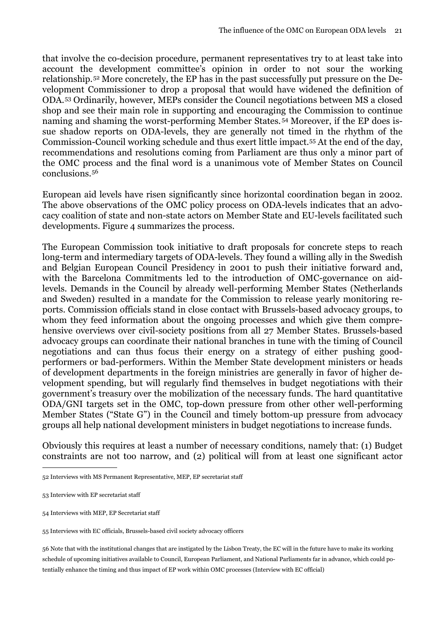that involve the co-decision procedure, permanent representatives try to at least take into account the development committee's opinion in order to not sour the working relationship.[52](#page-22-0) More concretely, the EP has in the past successfully put pressure on the Development Commissioner to drop a proposal that would have widened the definition of ODA.[53](#page-22-1) Ordinarily, however, MEPs consider the Council negotiations between MS a closed shop and see their main role in supporting and encouraging the Commission to continue naming and shaming the worst-performing Member States. [54](#page-22-2) Moreover, if the EP does issue shadow reports on ODA-levels, they are generally not timed in the rhythm of the Commission-Council working schedule and thus exert little impact.[55](#page-22-3) At the end of the day, recommendations and resolutions coming from Parliament are thus only a minor part of the OMC process and the final word is a unanimous vote of Member States on Council conclusions.[56](#page-22-4)

European aid levels have risen significantly since horizontal coordination began in 2002. The above observations of the OMC policy process on ODA-levels indicates that an advocacy coalition of state and non-state actors on Member State and EU-levels facilitated such developments. Figure 4 summarizes the process.

The European Commission took initiative to draft proposals for concrete steps to reach long-term and intermediary targets of ODA-levels. They found a willing ally in the Swedish and Belgian European Council Presidency in 2001 to push their initiative forward and, with the Barcelona Commitments led to the introduction of OMC-governance on aidlevels. Demands in the Council by already well-performing Member States (Netherlands and Sweden) resulted in a mandate for the Commission to release yearly monitoring reports. Commission officials stand in close contact with Brussels-based advocacy groups, to whom they feed information about the ongoing processes and which give them comprehensive overviews over civil-society positions from all 27 Member States. Brussels-based advocacy groups can coordinate their national branches in tune with the timing of Council negotiations and can thus focus their energy on a strategy of either pushing goodperformers or bad-performers. Within the Member State development ministers or heads of development departments in the foreign ministries are generally in favor of higher development spending, but will regularly find themselves in budget negotiations with their government's treasury over the mobilization of the necessary funds. The hard quantitative ODA/GNI targets set in the OMC, top-down pressure from other other well-performing Member States ("State G") in the Council and timely bottom-up pressure from advocacy groups all help national development ministers in budget negotiations to increase funds.

Obviously this requires at least a number of necessary conditions, namely that: (1) Budget constraints are not too narrow, and (2) political will from at least one significant actor

<span id="page-22-0"></span><sup>52</sup> Interviews with MS Permanent Representative, MEP, EP secretariat staff

<span id="page-22-1"></span><sup>53</sup> Interview with EP secretariat staff

<span id="page-22-2"></span><sup>54</sup> Interviews with MEP, EP Secretariat staff

<span id="page-22-3"></span><sup>55</sup> Interviews with EC officials, Brussels-based civil society advocacy officers

<span id="page-22-4"></span><sup>56</sup> Note that with the institutional changes that are instigated by the Lisbon Treaty, the EC will in the future have to make its working schedule of upcoming initiatives available to Council, European Parliament, and National Parliaments far in advance, which could potentially enhance the timing and thus impact of EP work within OMC processes (Interview with EC official)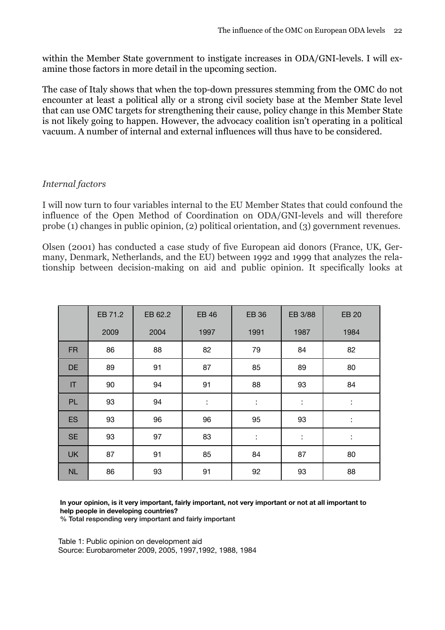within the Member State government to instigate increases in ODA/GNI-levels. I will examine those factors in more detail in the upcoming section.

The case of Italy shows that when the top-down pressures stemming from the OMC do not encounter at least a political ally or a strong civil society base at the Member State level that can use OMC targets for strengthening their cause, policy change in this Member State is not likely going to happen. However, the advocacy coalition isn't operating in a political vacuum. A number of internal and external influences will thus have to be considered.

#### <span id="page-23-0"></span>*Internal factors*

I will now turn to four variables internal to the EU Member States that could confound the influence of the Open Method of Coordination on ODA/GNI-levels and will therefore probe (1) changes in public opinion, (2) political orientation, and (3) government revenues.

Olsen (2001) has conducted a case study of five European aid donors (France, UK, Germany, Denmark, Netherlands, and the EU) between 1992 and 1999 that analyzes the relationship between decision-making on aid and public opinion. It specifically looks at

|           | EB 71.2 | EB 62.2 | <b>EB 46</b> | <b>EB 36</b> | EB 3/88 | <b>EB 20</b> |
|-----------|---------|---------|--------------|--------------|---------|--------------|
|           | 2009    | 2004    | 1997         | 1991         | 1987    | 1984         |
| <b>FR</b> | 86      | 88      | 82           | 79           | 84      | 82           |
| DE        | 89      | 91      | 87           | 85           | 89      | 80           |
| IT        | 90      | 94      | 91           | 88           | 93      | 84           |
| PL        | 93      | 94      | t            | t            | ÷       | ÷            |
| <b>ES</b> | 93      | 96      | 96           | 95           | 93      | ÷            |
| <b>SE</b> | 93      | 97      | 83           | Ì            | ÷       | ÷            |
| <b>UK</b> | 87      | 91      | 85           | 84           | 87      | 80           |
| NL        | 86      | 93      | 91           | 92           | 93      | 88           |

**In your opinion, is it very important, fairly important, not very important or not at all important to help people in developing countries?**

**% Total responding very important and fairly important**

Table 1: Public opinion on development aid Source: Eurobarometer 2009, 2005, 1997,1992, 1988, 1984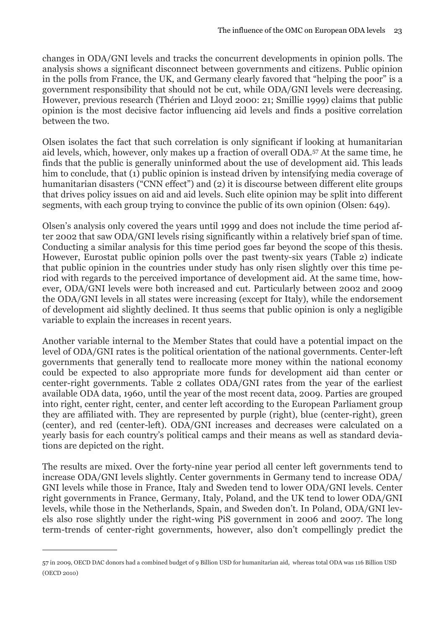changes in ODA/GNI levels and tracks the concurrent developments in opinion polls. The analysis shows a significant disconnect between governments and citizens. Public opinion in the polls from France, the UK, and Germany clearly favored that "helping the poor" is a government responsibility that should not be cut, while ODA/GNI levels were decreasing. However, previous research (Thérien and Lloyd 2000: 21; Smillie 1999) claims that public opinion is the most decisive factor influencing aid levels and finds a positive correlation between the two.

Olsen isolates the fact that such correlation is only significant if looking at humanitarian aid levels, which, however, only makes up a fraction of overall ODA.[57](#page-24-0) At the same time, he finds that the public is generally uninformed about the use of development aid. This leads him to conclude, that (1) public opinion is instead driven by intensifying media coverage of humanitarian disasters ("CNN effect") and (2) it is discourse between different elite groups that drives policy issues on aid and aid levels. Such elite opinion may be split into different segments, with each group trying to convince the public of its own opinion (Olsen: 649).

Olsen's analysis only covered the years until 1999 and does not include the time period after 2002 that saw ODA/GNI levels rising significantly within a relatively brief span of time. Conducting a similar analysis for this time period goes far beyond the scope of this thesis. However, Eurostat public opinion polls over the past twenty-six years (Table 2) indicate that public opinion in the countries under study has only risen slightly over this time period with regards to the perceived importance of development aid. At the same time, however, ODA/GNI levels were both increased and cut. Particularly between 2002 and 2009 the ODA/GNI levels in all states were increasing (except for Italy), while the endorsement of development aid slightly declined. It thus seems that public opinion is only a negligible variable to explain the increases in recent years.

Another variable internal to the Member States that could have a potential impact on the level of ODA/GNI rates is the political orientation of the national governments. Center-left governments that generally tend to reallocate more money within the national economy could be expected to also appropriate more funds for development aid than center or center-right governments. Table 2 collates ODA/GNI rates from the year of the earliest available ODA data, 1960, until the year of the most recent data, 2009. Parties are grouped into right, center right, center, and center left according to the European Parliament group they are affiliated with. They are represented by purple (right), blue (center-right), green (center), and red (center-left). ODA/GNI increases and decreases were calculated on a yearly basis for each country's political camps and their means as well as standard deviations are depicted on the right.

The results are mixed. Over the forty-nine year period all center left governments tend to increase ODA/GNI levels slightly. Center governments in Germany tend to increase ODA/ GNI levels while those in France, Italy and Sweden tend to lower ODA/GNI levels. Center right governments in France, Germany, Italy, Poland, and the UK tend to lower ODA/GNI levels, while those in the Netherlands, Spain, and Sweden don't. In Poland, ODA/GNI levels also rose slightly under the right-wing PiS government in 2006 and 2007. The long term-trends of center-right governments, however, also don't compellingly predict the

<span id="page-24-0"></span><sup>57</sup> in 2009, OECD DAC donors had a combined budget of 9 Billion USD for humanitarian aid, whereas total ODA was 116 Billion USD (OECD 2010)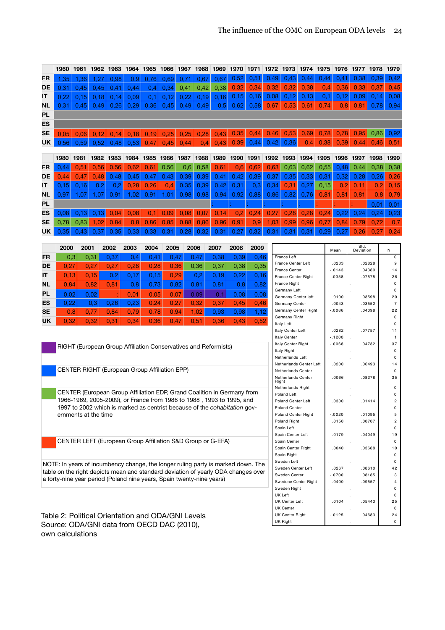|           | 1960 | 1961      | 1962 | 1963 | 1964 | 1965 | 1966 | 1967 | 1968           | 1969           | 1970 | 1971      | 1972 | 1973                                  | 1974 | 1975 | 1976     | 1977      | 1978   | 1979              |
|-----------|------|-----------|------|------|------|------|------|------|----------------|----------------|------|-----------|------|---------------------------------------|------|------|----------|-----------|--------|-------------------|
| <b>FR</b> | 1.35 | 1.36      | 1.27 | 0.98 | 0.9  | 0.76 | 0.69 | 0.71 | 0.67           | 0.67           | 0.52 | 0,51      | 0.49 | 0.43                                  | 0,44 | 0,44 | 0,41     | 0.38      | 0.39   | 0,42              |
| DE        | 0.31 | 0.45      | 0.45 | 0.41 | 0.44 | 0.4  | 0.34 | 0.41 | 0.42           | 0.38           | 0.32 | 0,34      | 0,32 | 0.32                                  | 0.38 | 0.4  | 0.36     | 0.33      | 0.37   | 0,45              |
| IT        | 0.22 | 0.15      | 0.18 | 0.14 | 0.09 | 0.1  | 0.12 | 0.22 | 0.19           | 0.16           | 0,15 | 0.16      | 0,08 | 0,12                                  | 0,13 | 0.1  | 0,12     | 0.09      | 0.14   | 0,08              |
| <b>NL</b> | 0.31 | 0.45      | 0.49 | 0.26 | 0.29 | 0.36 | 0.45 | 0.49 | 0.49           | 0.5            | 0.62 | 0.58      | 0.67 | 0.53                                  | 0.61 | 0.74 | 0.8      | 0.81      | 0.78   | 0.94              |
| PL        |      |           |      |      |      |      |      |      |                |                |      |           |      |                                       |      |      |          |           |        |                   |
| ES        |      |           |      |      |      |      |      |      |                |                |      |           |      |                                       |      |      |          |           |        |                   |
| <b>SE</b> | 0.05 | 0.06      | 0.12 | 0.14 | 0.18 | 0.19 | 0.25 | 0.25 | 0.28           | 0.43           | 0.35 | 0.44      | 0.46 | 0.53                                  | 0.69 | 0.78 | 0,78     | 0.95      | 0,86   | 0,92              |
| UK        | 0.56 | 0.59      | 0.52 | 0.48 | 0.53 | 0 47 | .45  | 0.44 | 0 <sub>4</sub> | 43<br>$\Omega$ | 0.39 | 0.44      | 0.42 | 0.36                                  | 0.4  | 0.38 | 0.39     | 0.44      | 0.46   | 0.51              |
|           |      |           |      |      |      |      |      |      |                |                |      |           |      |                                       |      |      |          |           |        |                   |
|           | 1980 | 1981      | 1982 | 1983 | 1984 | 1985 | 1986 | 1987 | 1988           | 1989           | 1990 | 1991      | 1992 | 1993                                  | 1994 | 1995 | 1996     | 1997      | 1998   | 1999              |
| FR        | 0.44 | 0.51      | 0.56 | 0.56 | 0.62 | 0.61 | 0.56 | 0.6  | 0.58           | 0.61           | 0.6  | 0.62      | 0.63 | 0.63                                  | 0.62 | 0,55 | 0.48     | 0.44      | 0.38   | 0,38              |
| DE        | 0.44 | 0.47      | 0.48 | 0.48 | 0.45 | 0.47 | 0.43 | 0.39 | 0,39           | 0.41           | 0.42 | 0.39      | 0.37 | 0.35                                  | 0.33 | 0.31 | 0.32     | 0.28      | 0.26   | 0,26              |
| IТ        | 0.15 | 0.16      | 0,2  | 0.2  | 0.28 | 0.26 | 0.4  | 0,35 | 0,39           | 0.42           | 0,31 | 0.3       | 0,34 | 0.31                                  | 0,27 | 0.15 | 0.2      | 0.11      | 0.2    | 0,15              |
| <b>NL</b> | 0.97 | 1.07      | 1.07 | 0.91 | 1.02 | 0.91 | 1.01 | 0.98 | 0.98           | 0.94           | 0,92 | 0.88      | 0.86 | 0.82                                  | 0.76 | 0.81 | 0.81     | 0.81      | 0.8    | 0.79              |
| PL        |      |           |      |      |      |      |      |      |                |                |      |           |      |                                       |      |      |          |           | 0.01   | 0,01              |
| ES        | 0.08 | 0.13      | 0.13 | 0.04 | 0.08 | 0.1  | 0.09 | 0.08 | 0.07           | 0.14           | 0.2  | 0.24      | 0,27 | 0.28                                  | 0.28 | 0.24 | 0.22     | 0.24      | 0.24   | 0,23              |
| SE        | 0,78 | 0,83      | 1.02 | 0.84 | 0.8  | 0.86 | 0.85 | 0.88 | 0.86           | 0.96           | 0.91 | 0.9       | 1.03 | 0.99                                  | 0.96 | 0.77 | 0,84     | 0.79      | 0,72   | 0,7               |
| UK        | 0,35 | 0.<br>.43 | 0.37 | 0.35 | 0.33 | 0.33 | 0.31 | 0.28 | 0,32           | 0,31           | 0.27 | .32<br>0. | 0.31 | 0.31                                  | 0.31 | 0.29 | 27<br>0  | 0.26      | 0.27   | 0,24              |
|           |      |           |      |      |      |      |      |      |                |                |      |           |      |                                       |      |      |          | Std.      |        |                   |
|           | 2000 | 2001      |      | 2002 | 2003 | 2004 | 2005 |      | 2006           | 2007           | 2008 | 2009      |      |                                       |      |      | Mean     | Deviation |        | N                 |
| <b>FR</b> | 0,3  |           | 0,31 | 0,37 | 0.4  | 0.41 | 0.47 |      | 0.47           | 0,38           | 0.39 | 0.46      |      | France Left<br>France Center Left     |      |      | .0233    |           | .02828 | $\mathbf 0$<br>9  |
| DE        | 0,27 |           | 0,27 | 0,27 | 0,28 | 0,28 | 0,36 |      | 0,36           | 0,37           | 0,38 | 0,35      |      | <b>France Center</b>                  |      |      | $-.0143$ |           | 04380  | 14                |
| IT        | 0,13 |           | 0,15 | 0,2  | 0.17 | 0,15 | 0,29 |      | 0.2            | 0.19           | 0,22 | 0,16      |      | France Center Right                   |      |      | $-0358$  |           | 07575  | 26                |
| <b>NL</b> | 0.84 |           | 0.82 | 0.81 | 0,8  | 0,73 | 0,82 |      | 0,81           | 0,81           | 0,8  | 0,82      |      | <b>France Right</b><br>Germany Left   |      |      |          |           |        | 0<br>0            |
| <b>PL</b> | 0.02 |           | 0,02 |      | 0.01 | 0.05 | 0.07 |      | 0.09           | 0.1            | 0.08 | 0.08      |      | Germany Center left                   |      |      | .0100    |           | 03598  | 20                |
| ES        | 0,22 |           | 0,3  | 0,26 | 0,23 | 0,24 | 0,27 |      | 0,32           | 0,37           | 0.45 | 0,46      |      | Germany Center                        |      |      | .0043    |           | .03552 | $\overline{7}$    |
| <b>SE</b> | 0,8  |           | 0,77 | 0,84 | 0.79 | 0,78 | 0,94 |      | 1,02           | 0,93           | 0,98 | 1,12      |      | Germany Center Right<br>Germany Right |      |      | $-0086$  |           | .04098 | 22<br>$\mathbf 0$ |
| <b>UK</b> | 0.32 |           | 0.32 | 0.31 | 0.34 | 0.36 | 0.47 |      | 0.51           | 0.36           | 0.43 | 0.52      |      | <b>Italy Left</b>                     |      |      |          |           |        | $\Omega$          |

| RIGHT (European Group Affiliation Conservatives and Reformists) |
|-----------------------------------------------------------------|
|                                                                 |
| CENTER RIGHT (European Group Affiliation EPP)                   |

CENTER (European Group Affiliation EDP, Grand Coalition in Germany from 1966-1969, 2005-2009), or France from 1986 to 1988 , 1993 to 1995, and 1997 to 2002 which is marked as centrist because of the *cohabitation* governments at the time

CENTER LEFT (European Group Affiliation S&D Group or G-EFA)

NOTE: In years of incumbency change, the longer ruling party is marked down. The table on the right depicts mean and standard deviation of yearly ODA changes over a forty-nine year period (Poland nine years, Spain twenty-nine years)

Table 2: Political Orientation and ODA/GNI Levels Source: ODA/GNI data from OECD DAC (2010), own calculations

|                             | Mean     | Std.<br>Deviation | N        |
|-----------------------------|----------|-------------------|----------|
| France Left                 |          |                   | $\Omega$ |
| <b>France Center Left</b>   | .0233    | .02828            | 9        |
| <b>France Center</b>        | $-0.143$ | .04380            | 14       |
| <b>France Center Right</b>  | $-.0358$ | .07575            | 26       |
| <b>France Right</b>         |          |                   | 0        |
| Germany Left                |          |                   | 0        |
| Germany Center left         | .0100    | .03598            | 20       |
| Germany Center              | .0043    | .03552            | 7        |
| Germany Center Right        | $-0086$  | .04098            | 22       |
| Germany Right               |          |                   | $\Omega$ |
| <b>Italy Left</b>           |          |                   | $\Omega$ |
| <b>Italy Center Left</b>    | .0282    | .07757            | 11       |
| <b>Italy Center</b>         | $-.1200$ |                   | 1        |
| Italy Center Right          | $-0068$  | .04732            | 37       |
| Italy Right                 |          |                   | 0        |
| <b>Netherlands Left</b>     |          |                   | $\Omega$ |
| Netherlands Center Left     | .0200    | .06493            | 14       |
| <b>Netherlands Center</b>   |          |                   | 0        |
| Netherlands Center<br>Right | .0066    | .08278            | 35       |
| Netherlands Right           |          |                   | $\Omega$ |
| Poland Left                 |          |                   | $\Omega$ |
| Poland Center Left          | .0300    | .01414            | 2        |
| <b>Poland Center</b>        |          |                   | 0        |
| <b>Poland Center Right</b>  | $-0020$  | .01095            | 5        |
| Poland Right                | .0150    | .00707            | 2        |
| Spain Left                  |          |                   | 0        |
| Spain Center Left           | .0179    | .04049            | 19       |
| Spain Center                |          |                   | 0        |
| Spain Center Right          | .0040    | .03688            | 10       |
| Spain Right                 |          |                   | 0        |
| Sweden Left                 |          |                   | 0        |
| Sweden Center Left          | .0267    | .08610            | 42       |
| Sweden Center               | $-.0700$ | .08185            | 3        |
| Swedene Center Right        | .0400    | .09557            | 4        |
| Sweden Right                |          |                   | 0        |
| <b>UK Left</b>              |          |                   | 0        |
| <b>UK Center Left</b>       | .0104    | .05443            | 25       |
| <b>UK Center</b>            |          |                   | 0        |
| <b>UK Center Right</b>      | $-0125$  | .04683            | 24       |
| <b>UK Right</b>             |          |                   | 0        |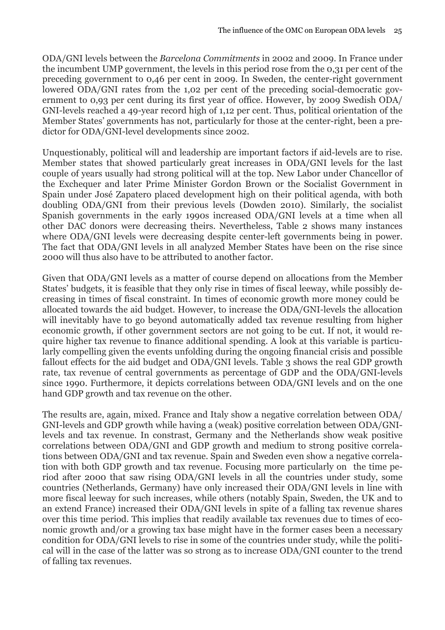ODA/GNI levels between the *Barcelona Commitments* in 2002 and 2009. In France under the incumbent UMP government, the levels in this period rose from the 0,31 per cent of the preceding government to 0,46 per cent in 2009. In Sweden, the center-right government lowered ODA/GNI rates from the 1,02 per cent of the preceding social-democratic government to 0,93 per cent during its first year of office. However, by 2009 Swedish ODA/ GNI-levels reached a 49-year record high of 1,12 per cent. Thus, political orientation of the Member States' governments has not, particularly for those at the center-right, been a predictor for ODA/GNI-level developments since 2002.

Unquestionably, political will and leadership are important factors if aid-levels are to rise. Member states that showed particularly great increases in ODA/GNI levels for the last couple of years usually had strong political will at the top. New Labor under Chancellor of the Exchequer and later Prime Minister Gordon Brown or the Socialist Government in Spain under José Zapatero placed development high on their political agenda, with both doubling ODA/GNI from their previous levels (Dowden 2010). Similarly, the socialist Spanish governments in the early 1990s increased ODA/GNI levels at a time when all other DAC donors were decreasing theirs. Nevertheless, Table 2 shows many instances where ODA/GNI levels were decreasing despite center-left governments being in power. The fact that ODA/GNI levels in all analyzed Member States have been on the rise since 2000 will thus also have to be attributed to another factor.

Given that ODA/GNI levels as a matter of course depend on allocations from the Member States' budgets, it is feasible that they only rise in times of fiscal leeway, while possibly decreasing in times of fiscal constraint. In times of economic growth more money could be allocated towards the aid budget. However, to increase the ODA/GNI-levels the allocation will inevitably have to go beyond automatically added tax revenue resulting from higher economic growth, if other government sectors are not going to be cut. If not, it would require higher tax revenue to finance additional spending. A look at this variable is particularly compelling given the events unfolding during the ongoing financial crisis and possible fallout effects for the aid budget and ODA/GNI levels. Table 3 shows the real GDP growth rate, tax revenue of central governments as percentage of GDP and the ODA/GNI-levels since 1990. Furthermore, it depicts correlations between ODA/GNI levels and on the one hand GDP growth and tax revenue on the other.

The results are, again, mixed. France and Italy show a negative correlation between ODA/ GNI-levels and GDP growth while having a (weak) positive correlation between ODA/GNIlevels and tax revenue. In constrast, Germany and the Netherlands show weak positive correlations between ODA/GNI and GDP growth and medium to strong positive correlations between ODA/GNI and tax revenue. Spain and Sweden even show a negative correlation with both GDP growth and tax revenue. Focusing more particularly on the time period after 2000 that saw rising ODA/GNI levels in all the countries under study, some countries (Netherlands, Germany) have only increased their ODA/GNI levels in line with more fiscal leeway for such increases, while others (notably Spain, Sweden, the UK and to an extend France) increased their ODA/GNI levels in spite of a falling tax revenue shares over this time period. This implies that readily available tax revenues due to times of economic growth and/or a growing tax base might have in the former cases been a necessary condition for ODA/GNI levels to rise in some of the countries under study, while the political will in the case of the latter was so strong as to increase ODA/GNI counter to the trend of falling tax revenues.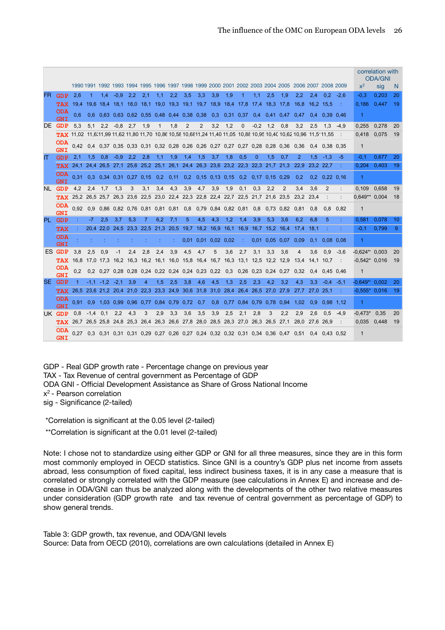|     |                                                                   |      |               |                    |        |                                                             |                |              |      |                |                |                     |        |                                                                                 |          |                             |                |                                                                                                                           |               |                 |             |                  | correlation with<br><b>ODA/GNI</b> |    |
|-----|-------------------------------------------------------------------|------|---------------|--------------------|--------|-------------------------------------------------------------|----------------|--------------|------|----------------|----------------|---------------------|--------|---------------------------------------------------------------------------------|----------|-----------------------------|----------------|---------------------------------------------------------------------------------------------------------------------------|---------------|-----------------|-------------|------------------|------------------------------------|----|
|     |                                                                   |      |               |                    |        |                                                             |                |              |      |                |                |                     |        |                                                                                 |          |                             |                | 1990 1991 1992 1993 1994 1995 1996 1997 1998 1999 2000 2001 2002 2003 2004 2005 2006 2007 2008 2009                       |               |                 |             | $x^2$            | sig                                | N  |
| FR. | <b>GDP</b>                                                        | 2.6  |               | 1.4                | $-0.9$ | 2.2                                                         | 2.1            | 1.1          | 2.2  | 3.5            | 3.3            | 3.9                 | 1.9    |                                                                                 | 1.1      | 2.5                         | 1.9            | 2.2                                                                                                                       | 2.4           | 0.2             | $-2.6$      | $-0.3$           | 0.203                              | 20 |
|     | <b>TAX</b> 19.4 19.6 18.4 18.1 18.0 18.1 19.0 19.3 19.1 19.7 18.9 |      |               |                    |        |                                                             |                |              |      |                |                |                     | - 18,4 | -17.8                                                                           | 17,4     | 18,3                        | -17.8          | 16,8                                                                                                                      | 16,2          | -15.5           |             | 0,186            | 0,447                              | 19 |
|     | <b>ODA</b><br><b>GNT</b>                                          | 0.6  |               |                    |        | 0.6 0.63 0.63 0.62 0.55 0.48 0.44                           |                |              |      | 0.38 0.38      |                | 0.3                 | 0.31   | 0.37                                                                            | 0.4      | 0.41                        | 0.47           | 0.47                                                                                                                      | 0.4           | 0.39 0.46       |             | 1                |                                    |    |
|     | DE GDP                                                            | 5,3  |               | $5,1$ 2.2          | -0.8   | 2.7                                                         | 1,9            | $\mathbf{1}$ | 1.8  | $\overline{2}$ | $\overline{2}$ | 3.2                 | 1,2    | $\Omega$                                                                        | $-0.2$   | 1,2                         | 0.8            | 3.2                                                                                                                       | 2.5           | 1.3             | $-4,9$      | 0.255            | 0.278                              | 20 |
|     |                                                                   |      |               |                    |        |                                                             |                |              |      |                |                |                     |        |                                                                                 |          |                             |                | <b>TAX</b> 11.02 11.6(11.99 11.62 11.80 11.70 10.86 10.58 10.6811.24 11.40 11.05 10.88 10.95 10.40 10.62 10.96 11.5111.55 |               |                 |             | 0.418            | 0.075                              | 19 |
|     | <b>ODA</b><br><b>GNI</b>                                          |      |               |                    |        |                                                             |                |              |      |                |                |                     |        | 0.42 0.4 0.37 0.35 0.33 0.31 0.32 0.28 0.26 0.26 0.27 0.27 0.27 0.28 0.28 0.36  |          |                             |                | 0.36                                                                                                                      |               | $0.4$ 0.38 0.35 |             | $\mathbf{1}$     |                                    |    |
| IT  | <b>GDP</b>                                                        | 2.1  | $1.5^{\circ}$ | 0.8                | $-0.9$ | $2.2^{\circ}$                                               | 2.8            | 1.1          | 1.9  | 1.4            | 1.5            | 3.7                 | 1.8    | 0.5                                                                             | $\Omega$ | 1.5                         | 0.7            | $\overline{2}$                                                                                                            | 1.5           | $-1.3$          | -5          | $-0.1$           | 0.677                              | 20 |
|     | <b>TAX</b>                                                        |      |               |                    |        | 24,1 24,4 26,5 27,1 25,6 25,2 25,1                          |                |              | 26,1 |                |                | 24,4 26,3 23,6 23,2 |        | 22,3 22,3                                                                       |          | 21.7                        | 21.3           | 22.9                                                                                                                      |               | 23,2 22,7       |             | 0,204            | 0,403                              | 19 |
|     | <b>ODA</b><br><b>GNI</b>                                          | 0.31 |               |                    |        | $0.3$ $0.34$ $0.31$ $0.27$ $0.15$ $0.2$ $0.11$              |                |              |      |                |                |                     |        | 0.2 0.15 0.13 0.15 0.2 0.17 0.15 0.29                                           |          |                             |                | 0,2                                                                                                                       | 0.2           | $0,22$ 0,16     |             | 1                |                                    |    |
|     | NL GDP                                                            | 4,2  | 2.4           | 1.7                | 1.3    | 3                                                           | 3.1            | 3.4          | 4.3  | 3.9            | 4.7            | 3.9                 | 1.9    | 0.1                                                                             | 0.3      | 2.2                         | $\overline{2}$ | 3.4                                                                                                                       | 3.6           | 2               |             | 0.109            | 0.658                              | 19 |
|     | <b>TAX</b>                                                        |      |               |                    |        |                                                             |                |              |      |                |                |                     |        | 25.2 26.5 25.7 26.3 23.6 22.5 23.0 22.4 22.3 22.8 22.4 22.7 22.5 21.7 21.6      |          |                             | 23,5           | 23,2                                                                                                                      | 23,4          |                 |             | $0.649**$        | 0,004                              | 18 |
|     | <b>ODA</b><br><b>GNI</b>                                          |      |               |                    |        | 0,92 0,9 0,86 0,82 0,76 0,81 0,81 0,81                      |                |              |      | 0.8            |                | 0.79 0.84 0.82 0.81 |        |                                                                                 | 0.8      |                             | $0.73$ 0.82    | 0.81                                                                                                                      | 0.8           | 0.8             | 0.82        | $\mathbf{1}$     |                                    |    |
|     | PL GDP                                                            |      | -7.           | 2.5                | 3.7    | 5,3                                                         | 7              | 6.2          | 7.1  | 5              | 4.5            | 4.3                 | 1.2    | 1.4                                                                             | 3.9      | 5.3                         | 3.6            | 6.2                                                                                                                       | 6.8           | 5               | ÷           | 0.581            | 0.078                              | 10 |
|     | <b>TAX</b>                                                        |      |               |                    |        | 20.4 22.0 24.5 23.3 22.5 21.3 20.5                          |                |              |      |                |                | 19,7 18,2 16,9 16,1 |        | 16.9                                                                            | 16.7     |                             | 15.2 16.4      | 17.4                                                                                                                      | 18.1          |                 |             | $-0.1$           | 0.799                              | 9  |
|     | <b>ODA</b><br><b>GNI</b>                                          |      |               |                    |        |                                                             |                |              |      |                | $0.01$ 0.01    | $0.02$ 0.02         |        |                                                                                 |          | $0.01$ 0.05 0.07            |                | 0.09                                                                                                                      | 0.1           |                 | $0.08$ 0.08 | 1                |                                    |    |
|     | ES GDP                                                            | 3.8  | 2.5           | 0.9                | $-1$   | 2,4                                                         | 2.8            | 2,4          | 3.9  | 4.5            | 4.7            | 5                   | 3.6    | 2,7                                                                             | 3.1      | 3.3                         | 3.6            | $\overline{4}$                                                                                                            | 3.6           | 0.9             | $-3.6$      | $-0.624$ * 0.003 |                                    | 20 |
|     | <b>TAX</b>                                                        |      |               |                    |        | 16.8 17.0 17.3 16.2 16.3 16.2 16.1 16.0 15.8 16.4 16.7 16.3 |                |              |      |                |                |                     |        | 13.1 12.5 12.2 12.9                                                             |          |                             |                | 13.4                                                                                                                      | 14.1          | 10.7            |             | $-0.542$ $0.016$ |                                    | 19 |
|     | <b>ODA</b><br><b>GNI</b>                                          | 0.2  |               |                    |        | 0.2 0.27 0.28 0.28 0.24 0.22 0.24 0.24 0.23 0.22 0.3        |                |              |      |                |                |                     |        |                                                                                 |          | $0.26$ $0.23$ $0.24$ $0.27$ |                | 0.32                                                                                                                      | $0.4^{\circ}$ | 0.45 0.46       |             | $\mathbf{1}$     |                                    |    |
|     | SE GDP                                                            | 1    |               | $-1.1 - 1.2 - 2.1$ |        | 3.9                                                         | $\overline{4}$ | 1.5          | 2.5  | 3.8            | 4.6            | 4.5                 | 1.3    | 2.5                                                                             | 2.3      | 4.2                         | 3.2            | 4.3                                                                                                                       | 3.3           | $-0.4$          | $-5.1$      | $-0.649*$        | 0.002                              | 20 |
|     | <b>TAX</b>                                                        |      |               |                    |        |                                                             |                |              |      |                |                |                     |        | 26.5 23.6 21.2 20.4 21.0 22.3 23.3 24.9 30.6 31.8 31.0 28.4 26.4 26.5 27.0 27.9 |          |                             |                | 27.7                                                                                                                      |               | 27.0 25.1       |             | $-0.555*$ 0.016  |                                    | 19 |
|     | <b>ODA</b><br><b>GNI</b>                                          | 0.91 |               |                    |        | 0.9 1.03 0.99 0.96 0.77 0.84 0.79 0.72 0.7                  |                |              |      |                |                |                     |        | 0.8 0.77 0.84 0.79 0.78 0.94                                                    |          |                             |                | 1.02                                                                                                                      | 0.9           | 0.98 1.12       |             | 1                |                                    |    |
|     | UK GDP                                                            | 0,8  | $-1.4$ 0.1    |                    | 2.2    | 4.3                                                         | 3              | 2.9          | 3.3  | 3.6            | 3,5            | 3,9                 | 2,5    | 2.1                                                                             | 2.8      | 3                           | 2.2            | 2,9                                                                                                                       | 2.6           | 0.5             | $-4.9$      | -0.473*          | 0.35                               | 20 |
|     | <b>TAX</b>                                                        |      |               |                    |        | 26,7 26,5 25,8 24,8 25,3 26,4 26,3 26,6                     |                |              |      | 27,8 28,0      |                |                     |        | 28,5 28,3 27,0 26,3 26,5                                                        |          |                             | 27,1           | 28,0                                                                                                                      | 27,6          | 26.9            |             | 0.035            | 0,448                              | 19 |
|     | ODA<br><b>GNI</b>                                                 |      |               |                    |        |                                                             |                |              |      |                |                |                     |        |                                                                                 |          |                             |                | 0.27 0.3 0.31 0.31 0.31 0.29 0.27 0.26 0.27 0.24 0.32 0.32 0.31 0.34 0.36 0.47 0.51 0.4 0.43 0.52                         |               |                 |             | $\mathbf{1}$     |                                    |    |

GDP - Real GDP growth rate - Percentage change on previous year TAX - Tax Revenue of central government as Percentage of GDP ODA GNI - Official Development Assistance as Share of Gross National Income x2 - Pearson correlation sig - Significance (2-tailed)

\*Correlation is significant at the 0.05 level (2-tailed)

\*\*Correlation is significant at the 0.01 level (2-tailed)

Note: I chose not to standardize using either GDP or GNI for all three measures, since they are in this form most commonly employed in OECD statistics. Since GNI is a country's GDP plus net income from assets abroad, less consumption of fixed capital, less indirect business taxes, it is in any case a measure that is correlated or strongly correlated with the GDP measure (see calculations in Annex E) and increase and decrease in ODA/GNI can thus be analyzed along with the developments of the other two relative measures under consideration (GDP growth rate and tax revenue of central government as percentage of GDP) to show general trends.

Table 3: GDP growth, tax revenue, and ODA/GNI levels Source: Data from OECD (2010), correlations are own calculations (detailed in Annex E)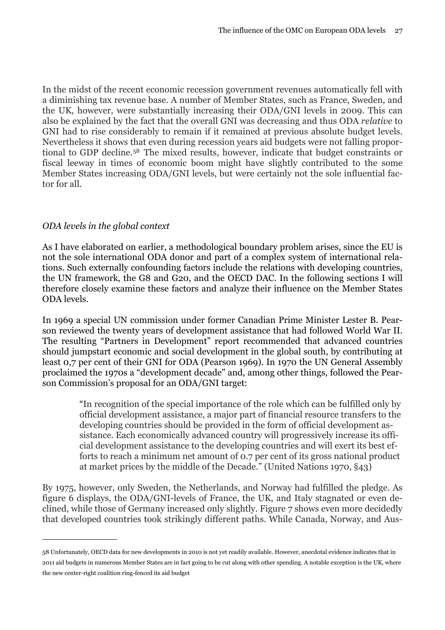In the midst of the recent economic recession government revenues automatically fell with a diminishing tax revenue base. A number of Member States, such as France, Sweden, and the UK, however, were substantially increasing their ODA/GNI levels in 2009. This can also be explained by the fact that the overall GNI was decreasing and thus ODA *relative* to GNI had to rise considerably to remain if it remained at previous absolute budget levels. Nevertheless it shows that even during recession years aid budgets were not falling proportional to GDP decline.[58](#page-28-1) The mixed results, however, indicate that budget constraints or fiscal leeway in times of economic boom might have slightly contributed to the some Member States increasing ODA/GNI levels, but were certainly not the sole influential factor for all.

#### <span id="page-28-0"></span>*ODA levels in the global context*

As I have elaborated on earlier, a methodological boundary problem arises, since the EU is not the sole international ODA donor and part of a complex system of international relations. Such externally confounding factors include the relations with developing countries, the UN framework, the G8 and G20, and the OECD DAC. In the following sections I will therefore closely examine these factors and analyze their influence on the Member States ODA levels.

In 1969 a special UN commission under former Canadian Prime Minister Lester B. Pearson reviewed the twenty years of development assistance that had followed World War II. The resulting "Partners in Development" report recommended that advanced countries should jumpstart economic and social development in the global south, by contributing at least 0,7 per cent of their GNI for ODA (Pearson 1969). In 1970 the UN General Assembly proclaimed the 1970s a "development decade" and, among other things, followed the Pearson Commission's proposal for an ODA/GNI target:

> "In recognition of the special importance of the role which can be fulfilled only by official development assistance, a major part of financial resource transfers to the developing countries should be provided in the form of official development assistance. Each economically advanced country will progressively increase its official development assistance to the developing countries and will exert its best efforts to reach a minimum net amount of 0.7 per cent of its gross national product at market prices by the middle of the Decade." (United Nations 1970, §43)

By 1975, however, only Sweden, the Netherlands, and Norway had fulfilled the pledge. As figure 6 displays, the ODA/GNI-levels of France, the UK, and Italy stagnated or even declined, while those of Germany increased only slightly. Figure 7 shows even more decidedly that developed countries took strikingly different paths. While Canada, Norway, and Aus-

<span id="page-28-1"></span><sup>58</sup> Unfortunately, OECD data for new developments in 2010 is not yet readily available. However, anecdotal evidence indicates that in 2011 aid budgets in numerous Member States are in fact going to be cut along with other spending. A notable exception is the UK, where the new center-right coalition ring-fenced its aid budget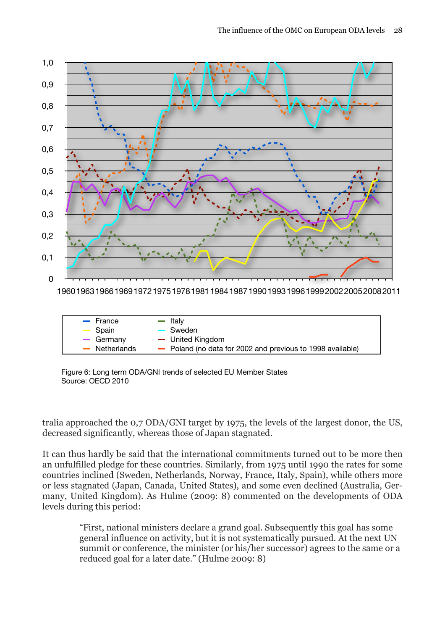

196019631966196919721975197819811984198719901993199619992002200520082011

| $-$ France                 | — Italy                                                    |
|----------------------------|------------------------------------------------------------|
| $\equiv$ Spain             | - Sweden                                                   |
| $-$ Germany                | - United Kingdom                                           |
| $\blacksquare$ Netherlands | - Poland (no data for 2002 and previous to 1998 available) |

Figure 6: Long term ODA/GNI trends of selected EU Member States Source: OECD 2010

tralia approached the 0,7 ODA/GNI target by 1975, the levels of the largest donor, the US, decreased significantly, whereas those of Japan stagnated.

It can thus hardly be said that the international commitments turned out to be more then an unfulfilled pledge for these countries. Similarly, from 1975 until 1990 the rates for some countries inclined (Sweden, Netherlands, Norway, France, Italy, Spain), while others more or less stagnated (Japan, Canada, United States), and some even declined (Australia, Germany, United Kingdom). As Hulme (2009: 8) commented on the developments of ODA levels during this period:

> "First, national ministers declare a grand goal. Subsequently this goal has some general influence on activity, but it is not systematically pursued. At the next UN summit or conference, the minister (or his/her successor) agrees to the same or a reduced goal for a later date." (Hulme 2009: 8)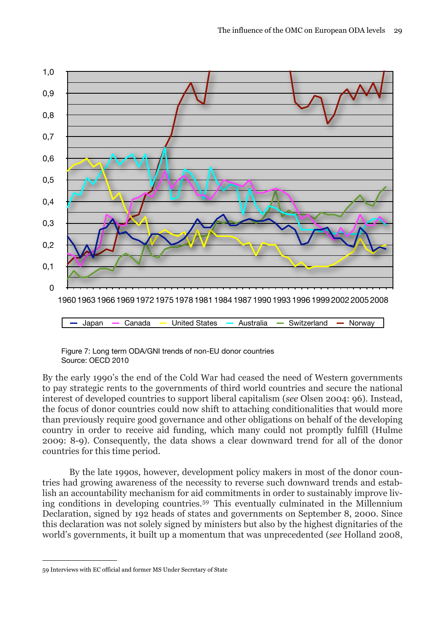

Figure 7: Long term ODA/GNI trends of non-EU donor countries Source: OECD 2010

By the early 1990's the end of the Cold War had ceased the need of Western governments to pay strategic rents to the governments of third world countries and secure the national interest of developed countries to support liberal capitalism (*see* Olsen 2004: 96). Instead, the focus of donor countries could now shift to attaching conditionalities that would more than previously require good governance and other obligations on behalf of the developing country in order to receive aid funding, which many could not promptly fulfill (Hulme 2009: 8-9). Consequently, the data shows a clear downward trend for all of the donor countries for this time period.

 By the late 1990s, however, development policy makers in most of the donor countries had growing awareness of the necessity to reverse such downward trends and establish an accountability mechanism for aid commitments in order to sustainably improve living conditions in developing countries.[59](#page-30-0) This eventually culminated in the Millennium Declaration, signed by 192 heads of states and governments on September 8, 2000. Since this declaration was not solely signed by ministers but also by the highest dignitaries of the world's governments, it built up a momentum that was unprecedented (*see* Holland 2008,

<span id="page-30-0"></span><sup>59</sup> Interviews with EC official and former MS Under Secretary of State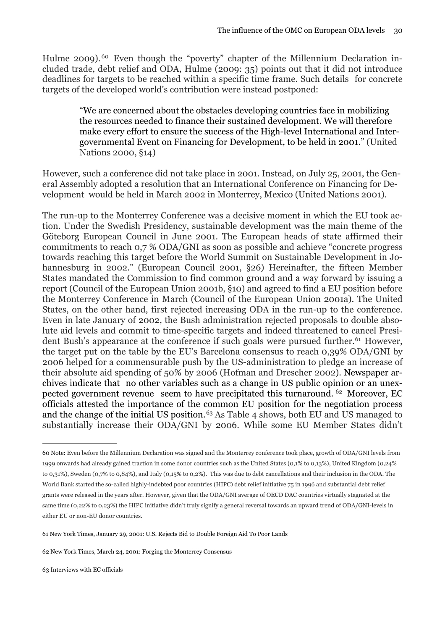Hulme 2009).<sup>[60](#page-31-0)</sup> Even though the "poverty" chapter of the Millennium Declaration included trade, debt relief and ODA, Hulme (2009: 35) points out that it did not introduce deadlines for targets to be reached within a specific time frame. Such details for concrete targets of the developed world's contribution were instead postponed:

> "We are concerned about the obstacles developing countries face in mobilizing the resources needed to finance their sustained development. We will therefore make every effort to ensure the success of the High-level International and Intergovernmental Event on Financing for Development, to be held in 2001." (United Nations 2000, §14)

However, such a conference did not take place in 2001. Instead, on July 25, 2001, the General Assembly adopted a resolution that an International Conference on Financing for Development would be held in March 2002 in Monterrey, Mexico (United Nations 2001).

The run-up to the Monterrey Conference was a decisive moment in which the EU took action. Under the Swedish Presidency, sustainable development was the main theme of the Göteborg European Council in June 2001. The European heads of state affirmed their commitments to reach 0,7 % ODA/GNI as soon as possible and achieve "concrete progress towards reaching this target before the World Summit on Sustainable Development in Johannesburg in 2002." (European Council 2001, §26) Hereinafter, the fifteen Member States mandated the Commission to find common ground and a way forward by issuing a report (Council of the European Union 2001b, §10) and agreed to find a EU position before the Monterrey Conference in March (Council of the European Union 2001a). The United States, on the other hand, first rejected increasing ODA in the run-up to the conference. Even in late January of 2002, the Bush administration rejected proposals to double absolute aid levels and commit to time-specific targets and indeed threatened to cancel President Bush's appearance at the conference if such goals were pursued further.<sup>61</sup> However, the target put on the table by the EU's Barcelona consensus to reach 0,39% ODA/GNI by 2006 helped for a commensurable push by the US-administration to pledge an increase of their absolute aid spending of 50% by 2006 (Hofman and Drescher 2002). Newspaper archives indicate that no other variables such as a change in US public opinion or an unexpected government revenue seem to have precipitated this turnaround. [62](#page-31-2) Moreover, EC officials attested the importance of the common EU position for the negotiation process and the change of the initial US position.[63](#page-31-3) As Table 4 shows, both EU and US managed to substantially increase their ODA/GNI by 2006. While some EU Member States didn't

<span id="page-31-0"></span><sup>60</sup> Note: Even before the Millennium Declaration was signed and the Monterrey conference took place, growth of ODA/GNI levels from 1999 onwards had already gained traction in some donor countries such as the United States (0,1% to 0,13%), United Kingdom (0,24% to 0,31%), Sweden (0,7% to 0,84%), and Italy (0,15% to 0,2%). This was due to debt cancellations and their inclusion in the ODA. The World Bank started the so-called highly-indebted poor countries (HIPC) debt relief initiative 75 in 1996 and substantial debt relief grants were released in the years after. However, given that the ODA/GNI average of OECD DAC countries virtually stagnated at the same time (0,22% to 0,23%) the HIPC initiative didn't truly signify a general reversal towards an upward trend of ODA/GNI-levels in either EU or non-EU donor countries.

<span id="page-31-1"></span><sup>61</sup> New York Times, January 29, 2001: U.S. Rejects Bid to Double Foreign Aid To Poor Lands

<span id="page-31-3"></span><span id="page-31-2"></span><sup>62</sup> New York Times, March 24, 2001: Forging the Monterrey Consensus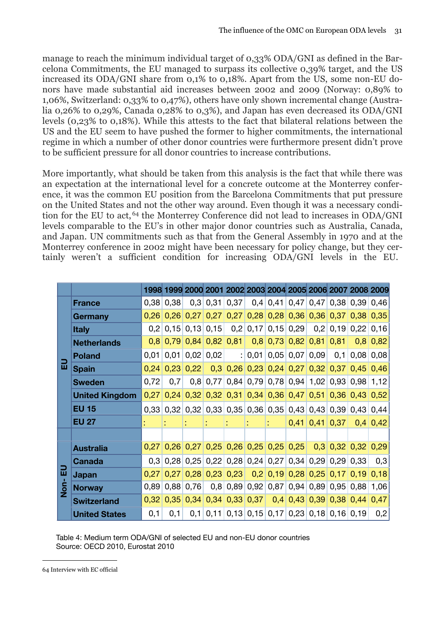manage to reach the minimum individual target of 0,33% ODA/GNI as defined in the Barcelona Commitments, the EU managed to surpass its collective 0,39% target, and the US increased its ODA/GNI share from 0,1% to 0,18%. Apart from the US, some non-EU donors have made substantial aid increases between 2002 and 2009 (Norway: 0,89% to 1,06%, Switzerland: 0,33% to 0,47%), others have only shown incremental change (Australia 0,26% to 0,29%, Canada 0,28% to 0,3%), and Japan has even decreased its ODA/GNI levels (0,23% to 0,18%). While this attests to the fact that bilateral relations between the US and the EU seem to have pushed the former to higher commitments, the international regime in which a number of other donor countries were furthermore present didn't prove to be sufficient pressure for all donor countries to increase contributions.

More importantly, what should be taken from this analysis is the fact that while there was an expectation at the international level for a concrete outcome at the Monterrey conference, it was the common EU position from the Barcelona Commitments that put pressure on the United States and not the other way around. Even though it was a necessary condition for the EU to act, [64](#page-32-0) the Monterrey Conference did not lead to increases in ODA/GNI levels comparable to the EU's in other major donor countries such as Australia, Canada, and Japan. UN commitments such as that from the General Assembly in 1970 and at the Monterrey conference in 2002 might have been necessary for policy change, but they certainly weren't a sufficient condition for increasing ODA/GNI levels in the EU.

|                |                       |      |             |                       |      |                 | 1998 1999 2000 2001 2002 2003 2004 2005 2006 2007 2008 2009   |                           |                  |                  |                                                 |            |
|----------------|-----------------------|------|-------------|-----------------------|------|-----------------|---------------------------------------------------------------|---------------------------|------------------|------------------|-------------------------------------------------|------------|
|                | <b>France</b>         |      | $0,38$ 0,38 |                       |      | $0,3$ 0,31 0,37 |                                                               |                           |                  |                  | $0,4$   0,41   0,47   0,47   0,38   0,39   0,46 |            |
|                | Germany               |      |             | $0,26$ 0,26 0,27      |      |                 | $0,27$ 0,27 0,28 0,28 0,36 0,36 0,37 0,38 0,35                |                           |                  |                  |                                                 |            |
|                | <b>Italy</b>          | 0,2  |             | $0.15 \mid 0.13 \mid$ |      |                 | $0,15$ 0,2 0,17 0,15 0,29                                     |                           |                  |                  | $0,2$ 0,19 0,22                                 | 0,16       |
|                | <b>Netherlands</b>    | 0,8  |             | $0,79$ 0,84           |      | $0,82$ 0,81     |                                                               | $0,8$ 0,73 0,82 0,81 0,81 |                  |                  | 0, 8                                            | 0,82       |
|                | <b>Poland</b>         | 0,01 |             | $0,01$ 0,02           | 0,02 |                 | : 0,01                                                        |                           | $0,05$ 0,07 0,09 |                  | $0,1$ 0,08                                      | 0,08       |
| 品              | <b>Spain</b>          | 0,24 |             | $0,23$ 0,22           |      |                 | $0,3$ $0,26$ $0,23$ $0,24$ $0,27$ $0,32$ $0,37$ $0,45$        |                           |                  |                  |                                                 | 0,46       |
|                | <b>Sweden</b>         | 0,72 | 0,7         | 0,8                   | 0,77 |                 | $0,84$ 0,79 0,78 0,94 1,02 0,93 0,98 1,12                     |                           |                  |                  |                                                 |            |
|                | <b>United Kingdom</b> | 0,27 |             |                       |      |                 | $0,24$ 0,32 0,32 0,31 0,34 0,36 0,47 0,51 0,36 0,43 0,52      |                           |                  |                  |                                                 |            |
|                | <b>EU 15</b>          |      |             |                       |      |                 | 0,33 0,32 0,32 0,33 0,35 0,36 0,35 0,43 0,43 0,39 0,43 0,44   |                           |                  |                  |                                                 |            |
|                | <b>EU 27</b>          |      |             |                       |      |                 |                                                               |                           |                  | $0,41$ 0.41 0.37 |                                                 | $0,4$ 0,42 |
|                |                       |      |             |                       |      |                 |                                                               |                           |                  |                  |                                                 |            |
|                | <b>Australia</b>      |      |             |                       |      |                 | $0,27$ 0,26 0,27 0,25 0,26 0,25 0,25 0,25                     |                           |                  |                  | $0,3$ 0,32 0,32 0,29                            |            |
|                | Canada                |      |             |                       |      |                 | 0,3 0,28 0,25 0,22 0,28 0,24 0,27 0,34 0,29 0,29 0,33         |                           |                  |                  |                                                 | 0,3        |
| 品              | <b>Japan</b>          | 0,27 |             | $0,27$ 0,28           |      |                 | $0,23$ 0,23 0,2 0,2 0,19 0,28 0,25 0,17 0,19                  |                           |                  |                  |                                                 | 0,18       |
| S <sub>D</sub> | <b>Norway</b>         | 0,89 |             | $0,88$ 0,76           |      |                 | $0,8$ 0,89 0,92 0,87 0,94 0,89 0,95 0,88 1,06                 |                           |                  |                  |                                                 |            |
|                | <b>Switzerland</b>    | 0,32 |             | $0,35$ 0,34           |      |                 | $0,34$ 0,33 0,37 0,4 0,43 0,39 0,38 0,44                      |                           |                  |                  |                                                 | 0,47       |
|                | <b>United States</b>  | 0,1  | 0,1         |                       |      |                 | $0,1$   0,11   0,13   0,15   0,17   0,23   0,18   0,16   0,19 |                           |                  |                  |                                                 | 0,2        |

Table 4: Medium term ODA/GNI of selected EU and non-EU donor countries Source: OECD 2010, Eurostat 2010

<span id="page-32-0"></span><sup>64</sup> Interview with EC official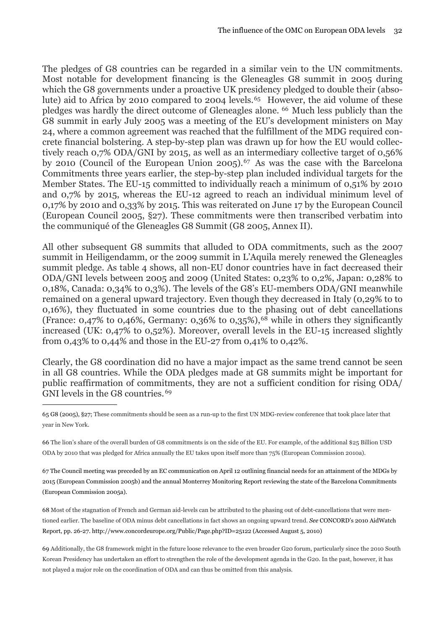The pledges of G8 countries can be regarded in a similar vein to the UN commitments. Most notable for development financing is the Gleneagles G8 summit in 2005 during which the G8 governments under a proactive UK presidency pledged to double their (absolute) aid to Africa by 2010 compared to 2004 levels.<sup>65</sup> However, the aid volume of these pledges was hardly the direct outcome of Gleneagles alone. [66](#page-33-1) Much less publicly than the G8 summit in early July 2005 was a meeting of the EU's development ministers on May 24, where a common agreement was reached that the fulfillment of the MDG required concrete financial bolstering. A step-by-step plan was drawn up for how the EU would collectively reach 0,7% ODA/GNI by 2015, as well as an intermediary collective target of 0,56% by 2010 (Council of the European Union 2005).<sup>67</sup> As was the case with the Barcelona Commitments three years earlier, the step-by-step plan included individual targets for the Member States. The EU-15 committed to individually reach a minimum of 0,51% by 2010 and 0,7% by 2015, whereas the EU-12 agreed to reach an individual minimum level of 0,17% by 2010 and 0,33% by 2015. This was reiterated on June 17 by the European Council (European Council 2005, §27). These commitments were then transcribed verbatim into the communiqué of the Gleneagles G8 Summit (G8 2005, Annex II).

All other subsequent G8 summits that alluded to ODA commitments, such as the 2007 summit in Heiligendamm, or the 2009 summit in L'Aquila merely renewed the Gleneagles summit pledge. As table 4 shows, all non-EU donor countries have in fact decreased their ODA/GNI levels between 2005 and 2009 (United States: 0,23% to 0,2%, Japan: 0,28% to 0,18%, Canada: 0,34% to 0,3%). The levels of the G8's EU-members ODA/GNI meanwhile remained on a general upward trajectory. Even though they decreased in Italy (0,29% to to 0,16%), they fluctuated in some countries due to the phasing out of debt cancellations (France:  $0.47\%$  to  $0.46\%$ , Germany:  $0.36\%$  to  $0.35\%$ ), <sup>68</sup> while in others they significantly increased (UK: 0,47% to 0,52%). Moreover, overall levels in the EU-15 increased slightly from 0,43% to 0,44% and those in the EU-27 from 0,41% to 0,42%.

Clearly, the G8 coordination did no have a major impact as the same trend cannot be seen in all G8 countries. While the ODA pledges made at G8 summits might be important for public reaffirmation of commitments, they are not a sufficient condition for rising ODA/ GNI levels in the G8 countries. [69](#page-33-4)

<span id="page-33-0"></span>65 G8 (2005), §27; These commitments should be seen as a run-up to the first UN MDG-review conference that took place later that year in New York.

<span id="page-33-1"></span>66 The lion's share of the overall burden of G8 commitments is on the side of the EU. For example, of the additional \$25 Billion USD ODA by 2010 that was pledged for Africa annually the EU takes upon itself more than 75% (European Commission 2010a).

<span id="page-33-2"></span>67 The Council meeting was preceded by an EC communication on April 12 outlining financial needs for an attainment of the MDGs by 2015 (European Commission 2005b) and the annual Monterrey Monitoring Report reviewing the state of the Barcelona Commitments (European Commission 2005a).

<span id="page-33-3"></span>68 Most of the stagnation of French and German aid-levels can be attributed to the phasing out of debt-cancellations that were mentioned earlier. The baseline of ODA minus debt cancellations in fact shows an ongoing upward trend. *See* CONCORD's 2010 AidWatch Report, pp. 26-27. <http://www.concordeurope.org/Public/Page.php?ID=25122> (Accessed August 5, 2010)

<span id="page-33-4"></span>69 Additionally, the G8 framework might in the future loose relevance to the even broader G20 forum, particularly since the 2010 South Korean Presidency has undertaken an effort to strengthen the role of the development agenda in the G20. In the past, however, it has not played a major role on the coordination of ODA and can thus be omitted from this analysis.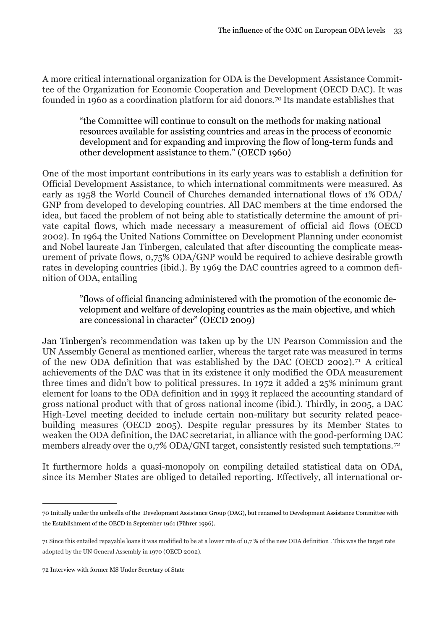A more critical international organization for ODA is the Development Assistance Committee of the Organization for Economic Cooperation and Development (OECD DAC). It was founded in 1960 as a coordination platform for aid donors.[70](#page-34-0) Its mandate establishes that

> "the Committee will continue to consult on the methods for making national resources available for assisting countries and areas in the process of economic development and for expanding and improving the flow of long-term funds and other development assistance to them." (OECD 1960)

One of the most important contributions in its early years was to establish a definition for Official Development Assistance, to which international commitments were measured. As early as 1958 the World Council of Churches demanded international flows of 1% ODA/ GNP from developed to developing countries. All DAC members at the time endorsed the idea, but faced the problem of not being able to statistically determine the amount of private capital flows, which made necessary a measurement of official aid flows (OECD 2002). In 1964 the United Nations Committee on Development Planning under economist and Nobel laureate Jan Tinbergen, calculated that after discounting the complicate measurement of private flows, 0,75% ODA/GNP would be required to achieve desirable growth rates in developing countries (ibid.). By 1969 the DAC countries agreed to a common definition of ODA, entailing

> "flows of official financing administered with the promotion of the economic development and welfare of developing countries as the main objective, and which are concessional in character" (OECD 2009)

Jan Tinbergen's recommendation was taken up by the UN Pearson Commission and the UN Assembly General as mentioned earlier, whereas the target rate was measured in terms of the new ODA definition that was established by the DAC (OECD 2002).[71](#page-34-1) A critical achievements of the DAC was that in its existence it only modified the ODA measurement three times and didn't bow to political pressures. In 1972 it added a 25% minimum grant element for loans to the ODA definition and in 1993 it replaced the accounting standard of gross national product with that of gross national income (ibid.). Thirdly, in 2005, a DAC High-Level meeting decided to include certain non-military but security related peacebuilding measures (OECD 2005). Despite regular pressures by its Member States to weaken the ODA definition, the DAC secretariat, in alliance with the good-performing DAC members already over the 0,7% ODA/GNI target, consistently resisted such temptations.<sup>[72](#page-34-2)</sup>

It furthermore holds a quasi-monopoly on compiling detailed statistical data on ODA, since its Member States are obliged to detailed reporting. Effectively, all international or-

<span id="page-34-0"></span><sup>70</sup> Initially under the umbrella of the Development Assistance Group (DAG), but renamed to Development Assistance Committee with the Establishment of the OECD in September 1961 (Führer 1996).

<span id="page-34-1"></span><sup>71</sup> Since this entailed repayable loans it was modified to be at a lower rate of 0,7 % of the new ODA definition . This was the target rate adopted by the UN General Assembly in 1970 (OECD 2002).

<span id="page-34-2"></span><sup>72</sup> Interview with former MS Under Secretary of State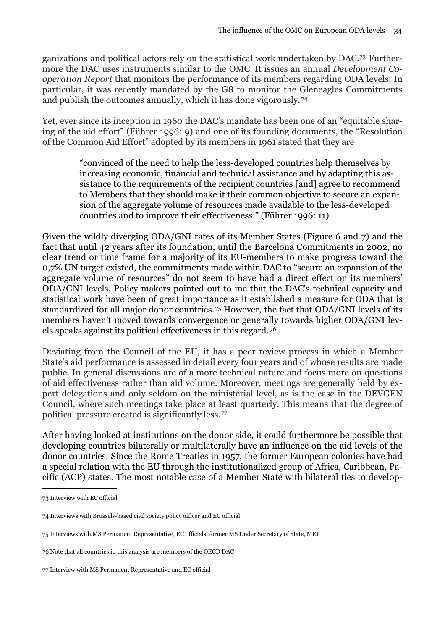ganizations and political actors rely on the statistical work undertaken by DAC.[73](#page-35-0) Furthermore the DAC uses instruments similar to the OMC. It issues an annual *Development Cooperation Report* that monitors the performance of its members regarding ODA levels. In particular, it was recently mandated by the G8 to monitor the Gleneagles Commitments and publish the outcomes annually, which it has done vigorously. [74](#page-35-1)

Yet, ever since its inception in 1960 the DAC's mandate has been one of an "equitable sharing of the aid effort" (Führer 1996: 9) and one of its founding documents, the "Resolution of the Common Aid Effort" adopted by its members in 1961 stated that they are

> "convinced of the need to help the less-developed countries help themselves by increasing economic, financial and technical assistance and by adapting this assistance to the requirements of the recipient countries [and] agree to recommend to Members that they should make it their common objective to secure an expansion of the aggregate volume of resources made available to the less-developed countries and to improve their effectiveness." (Führer 1996: 11)

Given the wildly diverging ODA/GNI rates of its Member States (Figure 6 and 7) and the fact that until 42 years after its foundation, until the Barcelona Commitments in 2002, no clear trend or time frame for a majority of its EU-members to make progress toward the 0,7% UN target existed, the commitments made within DAC to "secure an expansion of the aggregate volume of resources" do not seem to have had a direct effect on its members' ODA/GNI levels. Policy makers pointed out to me that the DAC's technical capacity and statistical work have been of great importance as it established a measure for ODA that is standardized for all major donor countries.[75](#page-35-2) However, the fact that ODA/GNI levels of its members haven't moved towards convergence or generally towards higher ODA/GNI levels speaks against its political effectiveness in this regard. [76](#page-35-3)

Deviating from the Council of the EU, it has a peer review process in which a Member State's aid performance is assessed in detail every four years and of whose results are made public. In general discussions are of a more technical nature and focus more on questions of aid effectiveness rather than aid volume. Moreover, meetings are generally held by expert delegations and only seldom on the ministerial level, as is the case in the DEVGEN Council, where such meetings take place at least quarterly. This means that the degree of political pressure created is significantly less.[77](#page-35-4)

After having looked at institutions on the donor side, it could furthermore be possible that developing countries bilaterally or multilaterally have an influence on the aid levels of the donor countries. Since the Rome Treaties in 1957, the former European colonies have had a special relation with the EU through the institutionalized group of Africa, Caribbean, Pacific (ACP) states. The most notable case of a Member State with bilateral ties to develop-

<span id="page-35-0"></span><sup>73</sup> Interview with EC official

<span id="page-35-1"></span><sup>74</sup> Interviews with Brussels-based civil society policy officer and EC official

<span id="page-35-2"></span><sup>75</sup> Interviews with MS Permanent Representative, EC officials, former MS Under Secretary of State, MEP

<span id="page-35-3"></span><sup>76</sup> Note that all countries in this analysis are members of the OECD DAC

<span id="page-35-4"></span><sup>77</sup> Interview with MS Permanent Representative and EC official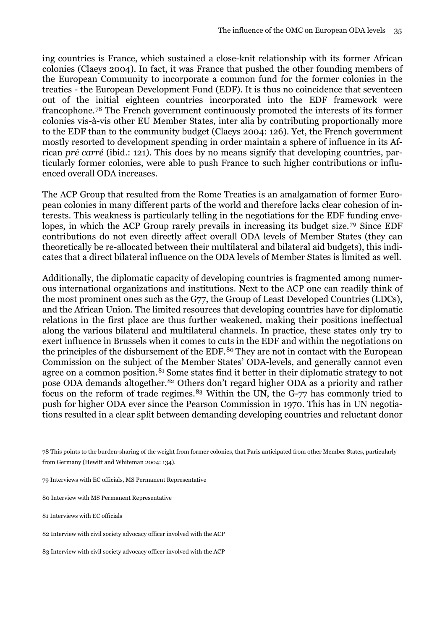ing countries is France, which sustained a close-knit relationship with its former African colonies (Claeys 2004). In fact, it was France that pushed the other founding members of the European Community to incorporate a common fund for the former colonies in the treaties - the European Development Fund (EDF). It is thus no coincidence that seventeen out of the initial eighteen countries incorporated into the EDF framework were francophone.[78](#page-36-0) The French government continuously promoted the interests of its former colonies vis-à-vis other EU Member States, inter alia by contributing proportionally more to the EDF than to the community budget (Claeys 2004: 126). Yet, the French government mostly resorted to development spending in order maintain a sphere of influence in its African *pré carré* (ibid.: 121). This does by no means signify that developing countries, particularly former colonies, were able to push France to such higher contributions or influenced overall ODA increases.

The ACP Group that resulted from the Rome Treaties is an amalgamation of former European colonies in many different parts of the world and therefore lacks clear cohesion of interests. This weakness is particularly telling in the negotiations for the EDF funding envelopes, in which the ACP Group rarely prevails in increasing its budget size.<sup>79</sup> Since EDF contributions do not even directly affect overall ODA levels of Member States (they can theoretically be re-allocated between their multilateral and bilateral aid budgets), this indicates that a direct bilateral influence on the ODA levels of Member States is limited as well.

Additionally, the diplomatic capacity of developing countries is fragmented among numerous international organizations and institutions. Next to the ACP one can readily think of the most prominent ones such as the G77, the Group of Least Developed Countries (LDCs), and the African Union. The limited resources that developing countries have for diplomatic relations in the first place are thus further weakened, making their positions ineffectual along the various bilateral and multilateral channels. In practice, these states only try to exert influence in Brussels when it comes to cuts in the EDF and within the negotiations on the principles of the disbursement of the EDF.<sup>80</sup> They are not in contact with the European Commission on the subject of the Member States' ODA-levels, and generally cannot even agree on a common position.<sup>81</sup> Some states find it better in their diplomatic strategy to not pose ODA demands altogether.[82](#page-36-4) Others don't regard higher ODA as a priority and rather focus on the reform of trade regimes.<sup>83</sup> Within the UN, the G-77 has commonly tried to push for higher ODA ever since the Pearson Commission in 1970. This has in UN negotiations resulted in a clear split between demanding developing countries and reluctant donor

<span id="page-36-0"></span><sup>78</sup> This points to the burden-sharing of the weight from former colonies, that Paris anticipated from other Member States, particularly from Germany (Hewitt and Whiteman 2004: 134).

<span id="page-36-1"></span><sup>79</sup> Interviews with EC officials, MS Permanent Representative

<span id="page-36-2"></span><sup>80</sup> Interview with MS Permanent Representative

<span id="page-36-3"></span><sup>81</sup> Interviews with EC officials

<span id="page-36-4"></span><sup>82</sup> Interview with civil society advocacy officer involved with the ACP

<span id="page-36-5"></span><sup>83</sup> Interview with civil society advocacy officer involved with the ACP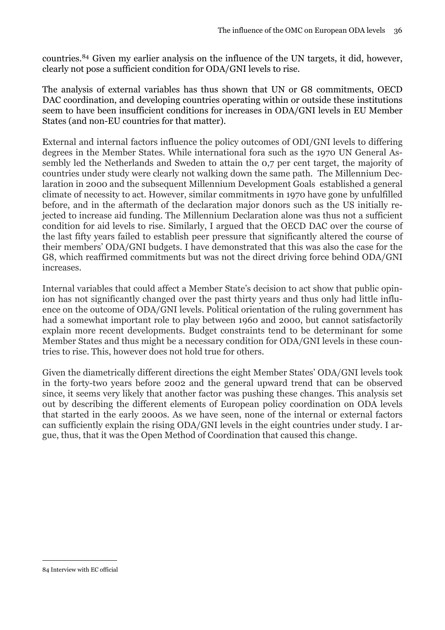countries.[84](#page-37-0) Given my earlier analysis on the influence of the UN targets, it did, however, clearly not pose a sufficient condition for ODA/GNI levels to rise.

The analysis of external variables has thus shown that UN or G8 commitments, OECD DAC coordination, and developing countries operating within or outside these institutions seem to have been insufficient conditions for increases in ODA/GNI levels in EU Member States (and non-EU countries for that matter).

External and internal factors influence the policy outcomes of ODI/GNI levels to differing degrees in the Member States. While international fora such as the 1970 UN General Assembly led the Netherlands and Sweden to attain the 0,7 per cent target, the majority of countries under study were clearly not walking down the same path. The Millennium Declaration in 2000 and the subsequent Millennium Development Goals established a general climate of necessity to act. However, similar commitments in 1970 have gone by unfulfilled before, and in the aftermath of the declaration major donors such as the US initially rejected to increase aid funding. The Millennium Declaration alone was thus not a sufficient condition for aid levels to rise. Similarly, I argued that the OECD DAC over the course of the last fifty years failed to establish peer pressure that significantly altered the course of their members' ODA/GNI budgets. I have demonstrated that this was also the case for the G8, which reaffirmed commitments but was not the direct driving force behind ODA/GNI increases.

Internal variables that could affect a Member State's decision to act show that public opinion has not significantly changed over the past thirty years and thus only had little influence on the outcome of ODA/GNI levels. Political orientation of the ruling government has had a somewhat important role to play between 1960 and 2000, but cannot satisfactorily explain more recent developments. Budget constraints tend to be determinant for some Member States and thus might be a necessary condition for ODA/GNI levels in these countries to rise. This, however does not hold true for others.

Given the diametrically different directions the eight Member States' ODA/GNI levels took in the forty-two years before 2002 and the general upward trend that can be observed since, it seems very likely that another factor was pushing these changes. This analysis set out by describing the different elements of European policy coordination on ODA levels that started in the early 2000s. As we have seen, none of the internal or external factors can sufficiently explain the rising ODA/GNI levels in the eight countries under study. I argue, thus, that it was the Open Method of Coordination that caused this change.

<span id="page-37-0"></span><sup>84</sup> Interview with EC official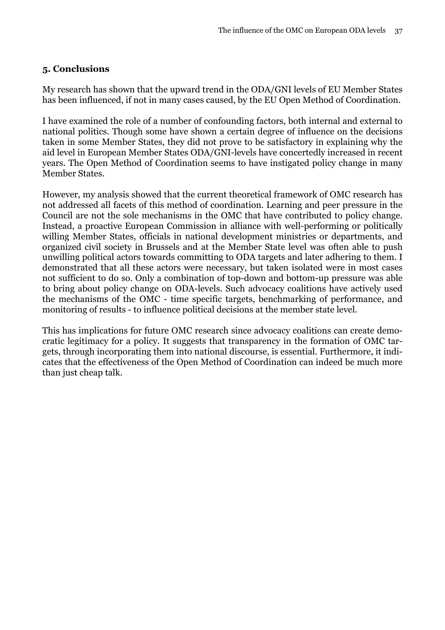#### <span id="page-38-0"></span>**5. Conclusions**

My research has shown that the upward trend in the ODA/GNI levels of EU Member States has been influenced, if not in many cases caused, by the EU Open Method of Coordination.

I have examined the role of a number of confounding factors, both internal and external to national politics. Though some have shown a certain degree of influence on the decisions taken in some Member States, they did not prove to be satisfactory in explaining why the aid level in European Member States ODA/GNI-levels have concertedly increased in recent years. The Open Method of Coordination seems to have instigated policy change in many Member States.

However, my analysis showed that the current theoretical framework of OMC research has not addressed all facets of this method of coordination. Learning and peer pressure in the Council are not the sole mechanisms in the OMC that have contributed to policy change. Instead, a proactive European Commission in alliance with well-performing or politically willing Member States, officials in national development ministries or departments, and organized civil society in Brussels and at the Member State level was often able to push unwilling political actors towards committing to ODA targets and later adhering to them. I demonstrated that all these actors were necessary, but taken isolated were in most cases not sufficient to do so. Only a combination of top-down and bottom-up pressure was able to bring about policy change on ODA-levels. Such advocacy coalitions have actively used the mechanisms of the OMC - time specific targets, benchmarking of performance, and monitoring of results - to influence political decisions at the member state level.

This has implications for future OMC research since advocacy coalitions can create democratic legitimacy for a policy. It suggests that transparency in the formation of OMC targets, through incorporating them into national discourse, is essential. Furthermore, it indicates that the effectiveness of the Open Method of Coordination can indeed be much more than just cheap talk.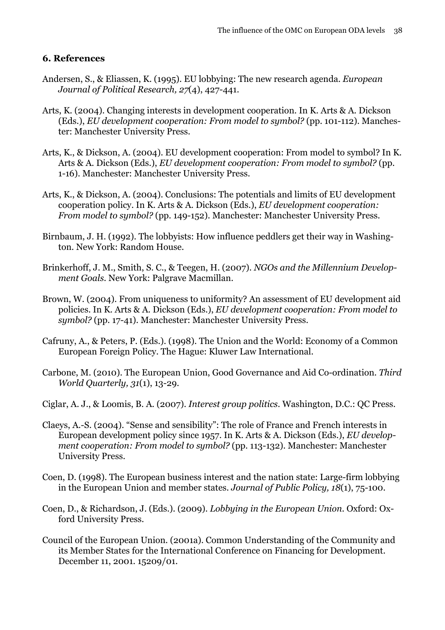#### <span id="page-39-0"></span>**6. References**

- Andersen, S., & Eliassen, K. (1995). EU lobbying: The new research agenda. *European Journal of Political Research, 27*(4), 427-441.
- Arts, K. (2004). Changing interests in development cooperation. In K. Arts & A. Dickson (Eds.), *EU development cooperation: From model to symbol?* (pp. 101-112). Manchester: Manchester University Press.
- Arts, K., & Dickson, A. (2004). EU development cooperation: From model to symbol? In K. Arts & A. Dickson (Eds.), *EU development cooperation: From model to symbol?* (pp. 1-16). Manchester: Manchester University Press.
- Arts, K., & Dickson, A. (2004). Conclusions: The potentials and limits of EU development cooperation policy. In K. Arts & A. Dickson (Eds.), *EU development cooperation: From model to symbol?* (pp. 149-152). Manchester: Manchester University Press.
- Birnbaum, J. H. (1992). The lobbyists: How influence peddlers get their way in Washington. New York: Random House.
- Brinkerhoff, J. M., Smith, S. C., & Teegen, H. (2007). *NGOs and the Millennium Development Goals*. New York: Palgrave Macmillan.
- Brown, W. (2004). From uniqueness to uniformity? An assessment of EU development aid policies. In K. Arts & A. Dickson (Eds.), *EU development cooperation: From model to symbol?* (pp. 17-41). Manchester: Manchester University Press.
- Cafruny, A., & Peters, P. (Eds.). (1998). The Union and the World: Economy of a Common European Foreign Policy. The Hague: Kluwer Law International.
- Carbone, M. (2010). The European Union, Good Governance and Aid Co-ordination. *Third World Quarterly, 31*(1), 13-29.
- Ciglar, A. J., & Loomis, B. A. (2007). *Interest group politics*. Washington, D.C.: QC Press.
- Claeys, A.-S. (2004). "Sense and sensibility": The role of France and French interests in European development policy since 1957. In K. Arts & A. Dickson (Eds.), *EU development cooperation: From model to symbol?* (pp. 113-132). Manchester: Manchester University Press.
- Coen, D. (1998). The European business interest and the nation state: Large-firm lobbying in the European Union and member states. *Journal of Public Policy, 18*(1), 75-100.
- Coen, D., & Richardson, J. (Eds.). (2009). *Lobbying in the European Union*. Oxford: Oxford University Press.
- Council of the European Union. (2001a). Common Understanding of the Community and its Member States for the International Conference on Financing for Development. December 11, 2001. 15209/01.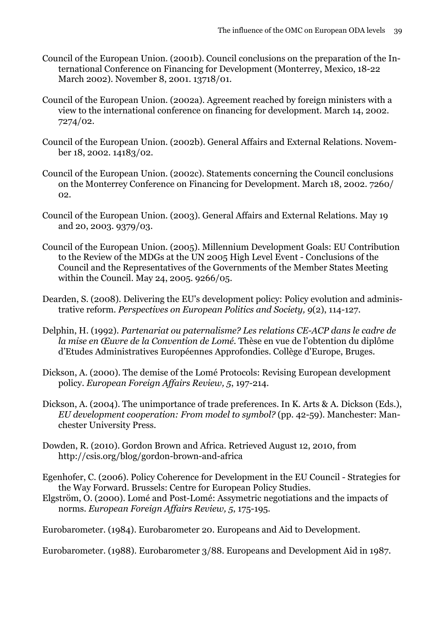- Council of the European Union. (2001b). Council conclusions on the preparation of the International Conference on Financing for Development (Monterrey, Mexico, 18-22 March 2002). November 8, 2001. 13718/01.
- Council of the European Union. (2002a). Agreement reached by foreign ministers with a view to the international conference on financing for development. March 14, 2002. 7274/02.
- Council of the European Union. (2002b). General Affairs and External Relations. November 18, 2002. 14183/02.
- Council of the European Union. (2002c). Statements concerning the Council conclusions on the Monterrey Conference on Financing for Development. March 18, 2002. 7260/ 02.
- Council of the European Union. (2003). General Affairs and External Relations. May 19 and 20, 2003. 9379/03.
- Council of the European Union. (2005). Millennium Development Goals: EU Contribution to the Review of the MDGs at the UN 2005 High Level Event - Conclusions of the Council and the Representatives of the Governments of the Member States Meeting within the Council. May 24, 2005. 9266/05.
- Dearden, S. (2008). Delivering the EU's development policy: Policy evolution and administrative reform. *Perspectives on European Politics and Society, 9*(2), 114-127.
- Delphin, H. (1992). *Partenariat ou paternalisme? Les relations CE-ACP dans le cadre de la mise en Œuvre de la Convention de Lomé.* Thèse en vue de l'obtention du diplôme d'Etudes Administratives Européennes Approfondies. Collège d'Europe, Bruges.
- Dickson, A. (2000). The demise of the Lomé Protocols: Revising European development policy. *European Foreign Affairs Review, 5*, 197-214.
- Dickson, A. (2004). The unimportance of trade preferences. In K. Arts & A. Dickson (Eds.), *EU development cooperation: From model to symbol?* (pp. 42-59). Manchester: Manchester University Press.
- Dowden, R. (2010). Gordon Brown and Africa. Retrieved August 12, 2010, from <http://csis.org/blog/gordon-brown-and-africa>
- Egenhofer, C. (2006). Policy Coherence for Development in the EU Council Strategies for the Way Forward. Brussels: Centre for European Policy Studies.
- Elgström, O. (2000). Lomé and Post-Lomé: Assymetric negotiations and the impacts of norms. *European Foreign Affairs Review, 5*, 175-195.

Eurobarometer. (1984). Eurobarometer 20. Europeans and Aid to Development.

Eurobarometer. (1988). Eurobarometer 3/88. Europeans and Development Aid in 1987.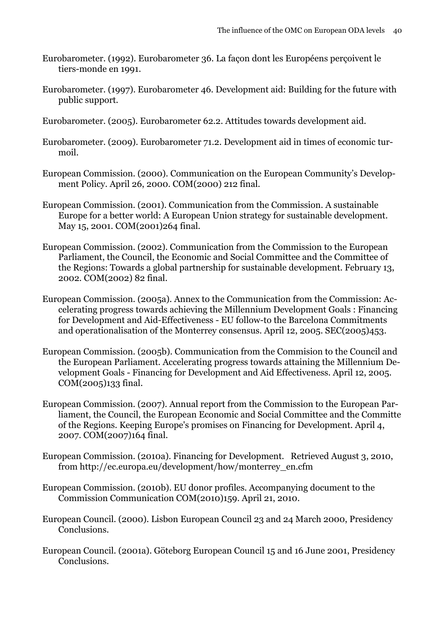- Eurobarometer. (1992). Eurobarometer 36. La façon dont les Européens perçoivent le tiers-monde en 1991.
- Eurobarometer. (1997). Eurobarometer 46. Development aid: Building for the future with public support.
- Eurobarometer. (2005). Eurobarometer 62.2. Attitudes towards development aid.
- Eurobarometer. (2009). Eurobarometer 71.2. Development aid in times of economic turmoil.
- European Commission. (2000). Communication on the European Community's Development Policy. April 26, 2000. COM(2000) 212 final.
- European Commission. (2001). Communication from the Commission. A sustainable Europe for a better world: A European Union strategy for sustainable development. May 15, 2001. COM(2001)264 final.
- European Commission. (2002). Communication from the Commission to the European Parliament, the Council, the Economic and Social Committee and the Committee of the Regions: Towards a global partnership for sustainable development. February 13, 2002. COM(2002) 82 final.
- European Commission. (2005a). Annex to the Communication from the Commission: Accelerating progress towards achieving the Millennium Development Goals : Financing for Development and Aid-Effectiveness - EU follow-to the Barcelona Commitments and operationalisation of the Monterrey consensus. April 12, 2005. SEC(2005)453.
- European Commission. (2005b). Communication from the Commision to the Council and the European Parliament. Accelerating progress towards attaining the Millennium Development Goals - Financing for Development and Aid Effectiveness. April 12, 2005. COM(2005)133 final.
- European Commission. (2007). Annual report from the Commission to the European Parliament, the Council, the European Economic and Social Committee and the Committe of the Regions. Keeping Europe's promises on Financing for Development. April 4, 2007. COM(2007)164 final.
- European Commission. (2010a). Financing for Development. Retrieved August 3, 2010, from [http://ec.europa.eu/development/how/monterrey\\_en.cfm](http://ec.europa.eu/development/how/monterrey_en.cfm)
- European Commission. (2010b). EU donor profiles. Accompanying document to the Commission Communication COM(2010)159. April 21, 2010.
- European Council. (2000). Lisbon European Council 23 and 24 March 2000, Presidency Conclusions.
- European Council. (2001a). Göteborg European Council 15 and 16 June 2001, Presidency Conclusions.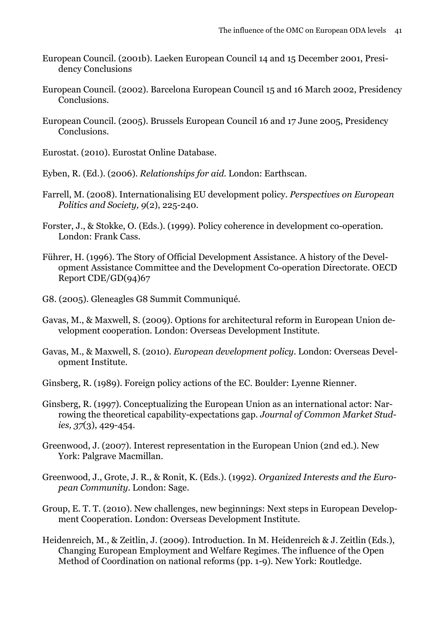- European Council. (2001b). Laeken European Council 14 and 15 December 2001, Presidency Conclusions
- European Council. (2002). Barcelona European Council 15 and 16 March 2002, Presidency Conclusions.
- European Council. (2005). Brussels European Council 16 and 17 June 2005, Presidency Conclusions.
- Eurostat. (2010). Eurostat Online Database.
- Eyben, R. (Ed.). (2006). *Relationships for aid*. London: Earthscan.
- Farrell, M. (2008). Internationalising EU development policy. *Perspectives on European Politics and Society, 9*(2), 225-240.
- Forster, J., & Stokke, O. (Eds.). (1999). Policy coherence in development co-operation. London: Frank Cass.
- Führer, H. (1996). The Story of Official Development Assistance. A history of the Development Assistance Committee and the Development Co-operation Directorate. OECD Report CDE/GD(94)67
- G8. (2005). Gleneagles G8 Summit Communiqué.
- Gavas, M., & Maxwell, S. (2009). Options for architectural reform in European Union development cooperation. London: Overseas Development Institute.
- Gavas, M., & Maxwell, S. (2010). *European development policy*. London: Overseas Development Institute.
- Ginsberg, R. (1989). Foreign policy actions of the EC. Boulder: Lyenne Rienner.
- Ginsberg, R. (1997). Conceptualizing the European Union as an international actor: Narrowing the theoretical capability-expectations gap. *Journal of Common Market Studies, 37*(3), 429-454.
- Greenwood, J. (2007). Interest representation in the European Union (2nd ed.). New York: Palgrave Macmillan.
- Greenwood, J., Grote, J. R., & Ronit, K. (Eds.). (1992). *Organized Interests and the European Community*. London: Sage.
- Group, E. T. T. (2010). New challenges, new beginnings: Next steps in European Development Cooperation. London: Overseas Development Institute.
- Heidenreich, M., & Zeitlin, J. (2009). Introduction. In M. Heidenreich & J. Zeitlin (Eds.), Changing European Employment and Welfare Regimes. The influence of the Open Method of Coordination on national reforms (pp. 1-9). New York: Routledge.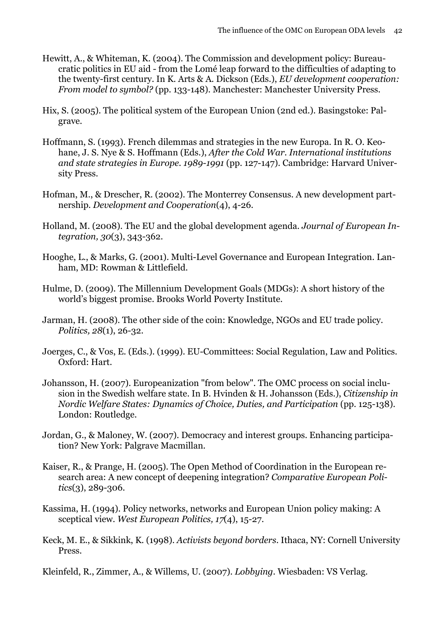- Hewitt, A., & Whiteman, K. (2004). The Commission and development policy: Bureaucratic politics in EU aid - from the Lomé leap forward to the difficulties of adapting to the twenty-first century. In K. Arts & A. Dickson (Eds.), *EU development cooperation: From model to symbol?* (pp. 133-148). Manchester: Manchester University Press.
- Hix, S. (2005). The political system of the European Union (2nd ed.). Basingstoke: Palgrave.
- Hoffmann, S. (1993). French dilemmas and strategies in the new Europa. In R. O. Keohane, J. S. Nye & S. Hoffmann (Eds.), *After the Cold War. International institutions and state strategies in Europe. 1989-1991* (pp. 127-147). Cambridge: Harvard University Press.
- Hofman, M., & Drescher, R. (2002). The Monterrey Consensus. A new development partnership. *Development and Cooperation*(4), 4-26.
- Holland, M. (2008). The EU and the global development agenda. *Journal of European Integration, 30*(3), 343-362.
- Hooghe, L., & Marks, G. (2001). Multi-Level Governance and European Integration. Lanham, MD: Rowman & Littlefield.
- Hulme, D. (2009). The Millennium Development Goals (MDGs): A short history of the world's biggest promise. Brooks World Poverty Institute.
- Jarman, H. (2008). The other side of the coin: Knowledge, NGOs and EU trade policy. *Politics, 28*(1), 26-32.
- Joerges, C., & Vos, E. (Eds.). (1999). EU-Committees: Social Regulation, Law and Politics. Oxford: Hart.
- Johansson, H. (2007). Europeanization "from below". The OMC process on social inclusion in the Swedish welfare state. In B. Hvinden & H. Johansson (Eds.), *Citizenship in Nordic Welfare States: Dynamics of Choice, Duties, and Participation* (pp. 125-138). London: Routledge.
- Jordan, G., & Maloney, W. (2007). Democracy and interest groups. Enhancing participation? New York: Palgrave Macmillan.
- Kaiser, R., & Prange, H. (2005). The Open Method of Coordination in the European research area: A new concept of deepening integration? *Comparative European Politics*(3), 289-306.
- Kassima, H. (1994). Policy networks, networks and European Union policy making: A sceptical view. *West European Politics, 17*(4), 15-27.
- Keck, M. E., & Sikkink, K. (1998). *Activists beyond borders*. Ithaca, NY: Cornell University Press.
- Kleinfeld, R., Zimmer, A., & Willems, U. (2007). *Lobbying*. Wiesbaden: VS Verlag.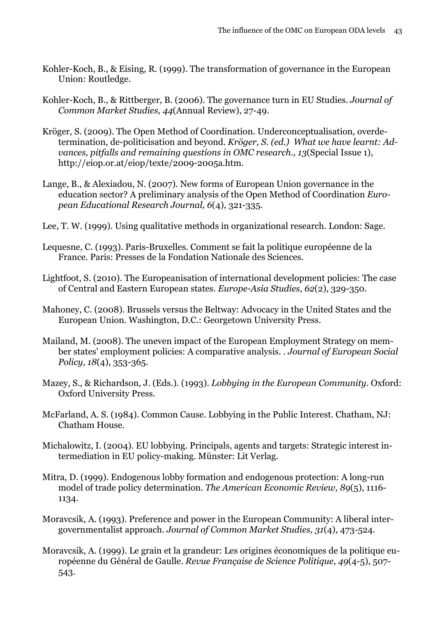- Kohler-Koch, B., & Eising, R. (1999). The transformation of governance in the European Union: Routledge.
- Kohler-Koch, B., & Rittberger, B. (2006). The governance turn in EU Studies. *Journal of Common Market Studies, 44*(Annual Review), 27-49.
- Kröger, S. (2009). The Open Method of Coordination. Underconceptualisation, overdetermination, de-politicisation and beyond. *Kröger, S. (ed.) What we have learnt: Advances, pitfalls and remaining questions in OMC research., 13*(Special Issue 1), [http://eiop.or.at/eiop/texte/2009-2005a.htm.](http://eiop.or.at/eiop/texte/2009-2005a.htm)
- Lange, B., & Alexiadou, N. (2007). New forms of European Union governance in the education sector? A preliminary analysis of the Open Method of Coordination *European Educational Research Journal, 6*(4), 321-335.
- Lee, T. W. (1999). Using qualitative methods in organizational research. London: Sage.
- Lequesne, C. (1993). Paris-Bruxelles. Comment se fait la politique européenne de la France. Paris: Presses de la Fondation Nationale des Sciences.
- Lightfoot, S. (2010). The Europeanisation of international development policies: The case of Central and Eastern European states. *Europe-Asia Studies, 62*(2), 329-350.
- Mahoney, C. (2008). Brussels versus the Beltway: Advocacy in the United States and the European Union. Washington, D.C.: Georgetown University Press.
- Mailand, M. (2008). The uneven impact of the European Employment Strategy on member states' employment policies: A comparative analysis. . *Journal of European Social Policy, 18*(4), 353-365.
- Mazey, S., & Richardson, J. (Eds.). (1993). *Lobbying in the European Community*. Oxford: Oxford University Press.
- McFarland, A. S. (1984). Common Cause. Lobbying in the Public Interest. Chatham, NJ: Chatham House.
- Michalowitz, I. (2004). EU lobbying. Principals, agents and targets: Strategic interest intermediation in EU policy-making. Münster: Lit Verlag.
- Mitra, D. (1999). Endogenous lobby formation and endogenous protection: A long-run model of trade policy determination. *The American Economic Review, 89*(5), 1116- 1134.
- Moravcsik, A. (1993). Preference and power in the European Community: A liberal intergovernmentalist approach. *Journal of Common Market Studies, 31*(4), 473-524.
- Moravcsik, A. (1999). Le grain et la grandeur: Les origines économiques de la politique européenne du Général de Gaulle. *Revue Française de Science Politique, 49*(4-5), 507- 543.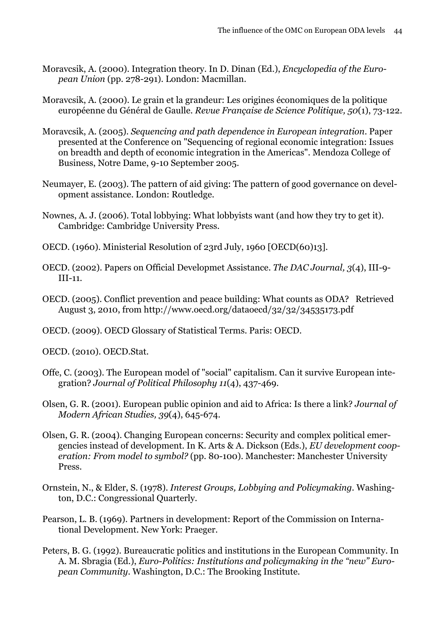- Moravcsik, A. (2000). Integration theory. In D. Dinan (Ed.), *Encyclopedia of the European Union* (pp. 278-291). London: Macmillan.
- Moravcsik, A. (2000). Le grain et la grandeur: Les origines économiques de la politique européenne du Général de Gaulle. *Revue Française de Science Politique, 50*(1), 73-122.
- Moravcsik, A. (2005). *Sequencing and path dependence in European integration*. Paper presented at the Conference on "Sequencing of regional economic integration: Issues on breadth and depth of economic integration in the Americas". Mendoza College of Business, Notre Dame, 9-10 September 2005.
- Neumayer, E. (2003). The pattern of aid giving: The pattern of good governance on development assistance. London: Routledge.
- Nownes, A. J. (2006). Total lobbying: What lobbyists want (and how they try to get it). Cambridge: Cambridge University Press.
- OECD. (1960). Ministerial Resolution of 23rd July, 1960 [OECD(60)13].
- OECD. (2002). Papers on Official Developmet Assistance. *The DAC Journal, 3*(4), III-9- III-11.
- OECD. (2005). Conflict prevention and peace building: What counts as ODA? Retrieved August 3, 2010, from<http://www.oecd.org/dataoecd/32/32/34535173.pdf>
- OECD. (2009). OECD Glossary of Statistical Terms. Paris: OECD.
- OECD. (2010). OECD.Stat.
- Offe, C. (2003). The European model of "social" capitalism. Can it survive European integration? *Journal of Political Philosophy 11*(4), 437-469.
- Olsen, G. R. (2001). European public opinion and aid to Africa: Is there a link? *Journal of Modern African Studies, 39*(4), 645-674.
- Olsen, G. R. (2004). Changing European concerns: Security and complex political emergencies instead of development. In K. Arts & A. Dickson (Eds.), *EU development cooperation: From model to symbol?* (pp. 80-100). Manchester: Manchester University Press.
- Ornstein, N., & Elder, S. (1978). *Interest Groups, Lobbying and Policymaking*. Washington, D.C.: Congressional Quarterly.
- Pearson, L. B. (1969). Partners in development: Report of the Commission on International Development. New York: Praeger.
- Peters, B. G. (1992). Bureaucratic politics and institutions in the European Community. In A. M. Sbragia (Ed.), *Euro-Politics: Institutions and policymaking in the "new" European Community*. Washington, D.C.: The Brooking Institute.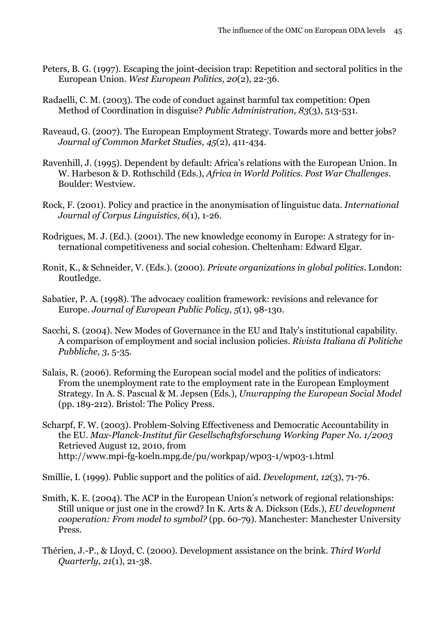- Peters, B. G. (1997). Escaping the joint-decision trap: Repetition and sectoral politics in the European Union. *West European Politics, 20*(2), 22-36.
- Radaelli, C. M. (2003). The code of conduct against harmful tax competition: Open Method of Coordination in disguise? *Public Administration, 83*(3), 513-531.
- Raveaud, G. (2007). The European Employment Strategy. Towards more and better jobs? *Journal of Common Market Studies, 45*(2), 411-434.
- Ravenhill, J. (1995). Dependent by default: Africa's relations with the European Union. In W. Harbeson & D. Rothschild (Eds.), *Africa in World Politics. Post War Challenges*. Boulder: Westview.
- Rock, F. (2001). Policy and practice in the anonymisation of linguistuc data. *International Journal of Corpus Linguistics, 6*(1), 1-26.
- Rodrigues, M. J. (Ed.). (2001). The new knowledge economy in Europe: A strategy for international competitiveness and social cohesion. Cheltenham: Edward Elgar.
- Ronit, K., & Schneider, V. (Eds.). (2000). *Private organizations in global politics*. London: Routledge.
- Sabatier, P. A. (1998). The advocacy coalition framework: revisions and relevance for Europe. *Journal of European Public Policy, 5*(1), 98-130.
- Sacchi, S. (2004). New Modes of Governance in the EU and Italy's institutional capability. A comparison of employment and social inclusion policies. *Rivista Italiana di Politiche Pubbliche, 3*, 5-35.
- Salais, R. (2006). Reforming the European social model and the politics of indicators: From the unemployment rate to the employment rate in the European Employment Strategy. In A. S. Pascual & M. Jepsen (Eds.), *Unwrapping the European Social Model* (pp. 189-212). Bristol: The Policy Press.
- Scharpf, F. W. (2003). Problem-Solving Effectiveness and Democratic Accountability in the EU. *Max-Planck-Institut für Gesellschaftsforschung Working Paper No. 1/2003* Retrieved August 12, 2010, from <http://www.mpi-fg-koeln.mpg.de/pu/workpap/wp03-1/wp03-1.html>

Smillie, I. (1999). Public support and the politics of aid. *Development, 12*(3), 71-76.

- Smith, K. E. (2004). The ACP in the European Union's network of regional relationships: Still unique or just one in the crowd? In K. Arts & A. Dickson (Eds.), *EU development cooperation: From model to symbol?* (pp. 60-79). Manchester: Manchester University Press.
- Thérien, J.-P., & Lloyd, C. (2000). Development assistance on the brink. *Third World Quarterly, 21*(1), 21-38.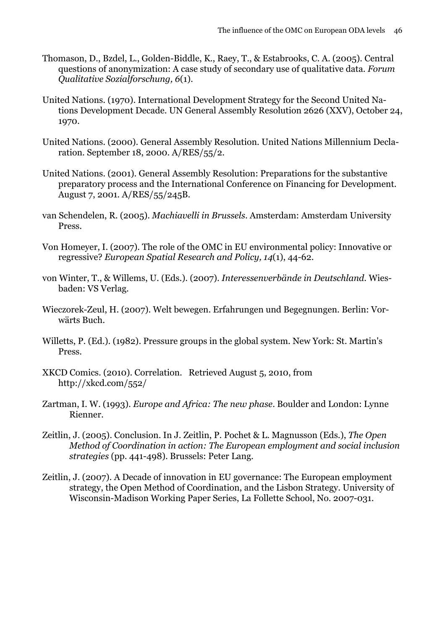- Thomason, D., Bzdel, L., Golden-Biddle, K., Raey, T., & Estabrooks, C. A. (2005). Central questions of anonymization: A case study of secondary use of qualitative data. *Forum Qualitative Sozialforschung, 6*(1).
- United Nations. (1970). International Development Strategy for the Second United Nations Development Decade. UN General Assembly Resolution 2626 (XXV), October 24, 1970.
- United Nations. (2000). General Assembly Resolution. United Nations Millennium Declaration. September 18, 2000. A/RES/55/2.
- United Nations. (2001). General Assembly Resolution: Preparations for the substantive preparatory process and the International Conference on Financing for Development. August 7, 2001. A/RES/55/245B.
- van Schendelen, R. (2005). *Machiavelli in Brussels*. Amsterdam: Amsterdam University Press.
- Von Homeyer, I. (2007). The role of the OMC in EU environmental policy: Innovative or regressive? *European Spatial Research and Policy, 14*(1), 44-62.
- von Winter, T., & Willems, U. (Eds.). (2007). *Interessenverbände in Deutschland*. Wiesbaden: VS Verlag.
- Wieczorek-Zeul, H. (2007). Welt bewegen. Erfahrungen und Begegnungen. Berlin: Vorwärts Buch.
- Willetts, P. (Ed.). (1982). Pressure groups in the global system. New York: St. Martin's Press.
- XKCD Comics. (2010). Correlation. Retrieved August 5, 2010, from <http://xkcd.com/552/>
- Zartman, I. W. (1993). *Europe and Africa: The new phase*. Boulder and London: Lynne Rienner.
- Zeitlin, J. (2005). Conclusion. In J. Zeitlin, P. Pochet & L. Magnusson (Eds.), *The Open Method of Coordination in action: The European employment and social inclusion strategies* (pp. 441-498). Brussels: Peter Lang.
- Zeitlin, J. (2007). A Decade of innovation in EU governance: The European employment strategy, the Open Method of Coordination, and the Lisbon Strategy. University of Wisconsin-Madison Working Paper Series, La Follette School, No. 2007-031.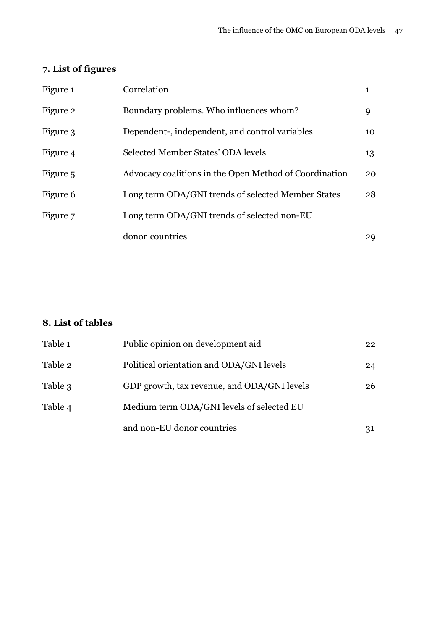# <span id="page-48-0"></span>**7. List of figures**

| Figure 1 | Correlation                                            | 1  |
|----------|--------------------------------------------------------|----|
| Figure 2 | Boundary problems. Who influences whom?                | 9  |
| Figure 3 | Dependent-, independent, and control variables         | 10 |
| Figure 4 | Selected Member States' ODA levels                     | 13 |
| Figure 5 | Advocacy coalitions in the Open Method of Coordination | 20 |
| Figure 6 | Long term ODA/GNI trends of selected Member States     | 28 |
| Figure 7 | Long term ODA/GNI trends of selected non-EU            |    |
|          | donor countries                                        | 29 |

### <span id="page-48-1"></span>**8. List of tables**

| Table 1 | Public opinion on development aid           | 22 |
|---------|---------------------------------------------|----|
| Table 2 | Political orientation and ODA/GNI levels    | 24 |
| Table 3 | GDP growth, tax revenue, and ODA/GNI levels | 26 |
| Table 4 | Medium term ODA/GNI levels of selected EU   |    |
|         | and non-EU donor countries                  | 31 |